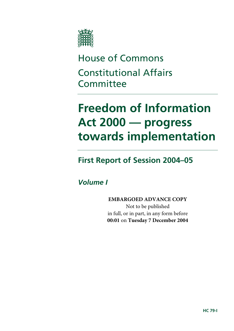

# House of Commons Constitutional Affairs **Committee**

# **Freedom of Information Act 2000 — progress towards implementation**

### **First Report of Session 2004–05**

### *Volume I*

**EMBARGOED ADVANCE COPY** Not to be published in full, or in part, in any form before **00:01** on **Tuesday 7 December 2004**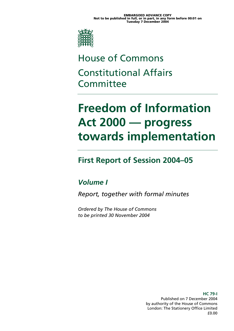

# House of Commons Constitutional Affairs **Committee**

# **Freedom of Information Act 2000 — progress towards implementation**

### **First Report of Session 2004–05**

### *Volume I*

*Report, together with formal minutes* 

*Ordered by The House of Commons to be printed 30 November 2004* 

> **HC 79-I**  Published on 7 December 2004 by authority of the House of Commons London: The Stationery Office Limited £0.00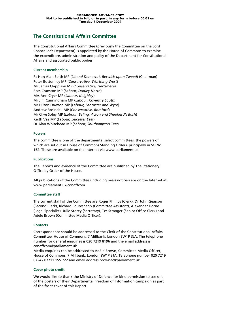#### **The Constitutional Affairs Committee**

The Constitutional Affairs Committee (previously the Committee on the Lord Chancellor's Department) is appointed by the House of Commons to examine the expenditure, administration and policy of the Department for Constitutional Affairs and associated public bodies.

#### **Current membership**

Rt Hon Alan Beith MP (*Liberal Democrat, Berwick-upon-Tweed*) (Chairman) Peter Bottomley MP (*Conservative, Worthing West*) Mr James Clappison MP (*Conservative, Hertsmere*) Ross Cranston MP (*Labour, Dudley North*) Mrs Ann Cryer MP (*Labour, Keighley*) Mr Jim Cunningham MP (*Labour, Coventry South*) Mr Hilton Dawson MP (*Labour, Lancaster and Wyre*) Andrew Rosindell MP (*Conservative, Romford*) Mr Clive Soley MP (*Labour, Ealing, Acton and Shepherd's Bush*) Keith Vaz MP (*Labour, Leicester East*) Dr Alan Whitehead MP (*Labour, Southampton Test*)

#### **Powers**

The committee is one of the departmental select committees, the powers of which are set out in House of Commons Standing Orders, principally in SO No 152. These are available on the Internet via www.parliament.uk

#### **Publications**

The Reports and evidence of the Committee are published by The Stationery Office by Order of the House.

All publications of the Committee (including press notices) are on the Internet at www.parliament.uk/conaffcom

#### **Committee staff**

The current staff of the Committee are Roger Phillips (Clerk), Dr John Gearson (Second Clerk), Richard Poureshagh (Committee Assistant), Alexander Horne (Legal Specialist), Julie Storey (Secretary), Tes Stranger (Senior Office Clerk) and Adèle Brown (Committee Media Officer).

#### **Contacts**

Correspondence should be addressed to the Clerk of the Constitutional Affairs Committee, House of Commons, 7 Millbank, London SW1P 3JA. The telephone number for general enquiries is 020 7219 8196 and the email address is conaffcom@parliament.uk

Media enquiries can be addressed to Adèle Brown, Committee Media Officer, House of Commons, 7 Millbank, London SW1P 3JA. Telephone number 020 7219 0724 / 07711 155 722 and email address brownac@parliament.uk

#### **Cover photo credit**

We would like to thank the Ministry of Defence for kind permission to use one of the posters of their Departmental Freedom of Information campaign as part of the front cover of this Report.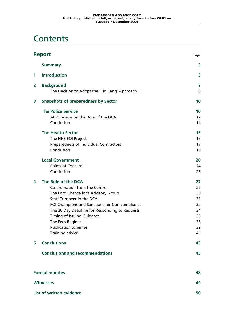### **Contents**

|   | <b>Report</b><br>Page                                              |        |
|---|--------------------------------------------------------------------|--------|
|   | <b>Summary</b>                                                     | 3      |
| 1 | <b>Introduction</b>                                                | 5      |
| 2 | <b>Background</b><br>The Decision to Adopt the 'Big Bang' Approach | 7<br>8 |
| 3 | <b>Snapshots of preparedness by Sector</b>                         | 10     |
|   |                                                                    |        |
|   | <b>The Police Service</b>                                          | 10     |
|   | ACPO Views on the Role of the DCA                                  | 12     |
|   | Conclusion                                                         | 14     |
|   | <b>The Health Sector</b>                                           | 15     |
|   | The NHS FOI Project                                                | 15     |
|   | Preparedness of Individual Contractors                             | 17     |
|   | Conclusion                                                         | 19     |
|   | <b>Local Government</b>                                            | 20     |
|   | Points of Concern                                                  | 24     |
|   | Conclusion                                                         | 26     |
| 4 | The Role of the DCA                                                | 27     |
|   | Co-ordination from the Centre                                      | 29     |
|   | The Lord Chancellor's Advisory Group                               | 30     |
|   | Staff Turnover in the DCA                                          | 31     |
|   | FOI Champions and Sanctions for Non-compliance                     | 32     |
|   | The 20 Day Deadline for Responding to Requests                     | 34     |
|   | Timing of Issuing Guidance                                         | 36     |
|   | The Fees Regime                                                    | 38     |
|   | <b>Publication Schemes</b>                                         | 39     |
|   | Training advice                                                    | 41     |
| 5 | <b>Conclusions</b>                                                 | 43     |
|   | <b>Conclusions and recommendations</b>                             | 45     |
|   | <b>Formal minutes</b>                                              | 48     |
|   |                                                                    |        |
|   | <b>Witnesses</b>                                                   | 49     |
|   | List of written evidence                                           | 50     |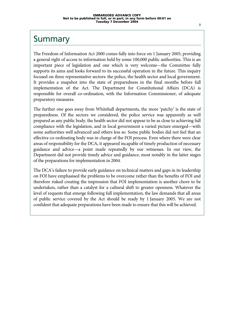### Summary

The Freedom of Information Act 2000 comes fully into force on 1 January 2005, providing a general right of access to information held by some 100,000 public authorities. This is an important piece of legislation and one which is very welcome—the Committee fully supports its aims and looks forward to its successful operation in the future. This inquiry focused on three representative sectors: the police, the health sector and local government. It provides a snapshot into the state of preparedness in the final months before full implementation of the Act. The Department for Constitutional Affairs (DCA) is responsible for overall co-ordination, with the Information Commissioner, of adequate preparatory measures.

The further one goes away from Whitehall departments, the more 'patchy' is the state of preparedness. Of the sectors we considered, the police service was apparently as well prepared as any public body, the health sector did not appear to be as close to achieving full compliance with the legislation, and in local government a varied picture emerged—with some authorities well advanced and others less so. Some public bodies did not feel that an effective co-ordinating body was in charge of the FOI process. Even where there were clear areas of responsibility for the DCA, it appeared incapable of timely production of necessary guidance and advice—a point made repeatedly by our witnesses. In our view, the Department did not provide timely advice and guidance, most notably in the latter stages of the preparations for implementation in 2004.

The DCA's failure to provide early guidance on technical matters and gaps in its leadership on FOI have emphasised the problems to be overcome rather than the benefits of FOI and therefore risked creating the impression that FOI implementation is another chore to be undertaken, rather than a catalyst for a cultural shift to greater openness. Whatever the level of requests that emerge following full implementation, the law demands that all areas of public service covered by the Act should be ready by 1 January 2005. We are not confident that adequate preparations have been made to ensure that this will be achieved.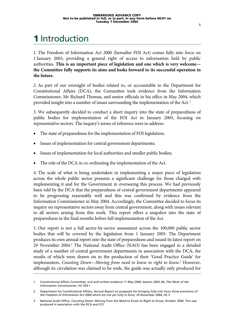# 1 Introduction

1. The Freedom of Information Act 2000 (hereafter FOI Act) comes fully into force on 1 January 2005, providing a general right of access to information held by public authorities. **This is an important piece of legislation and one which is very welcome the Committee fully supports its aims and looks forward to its successful operation in the future.**

2. As part of our oversight of bodies related to, or accountable to the Department for Constitutional Affairs (DCA), the Committee took evidence from the Information Commissioner, Mr Richard Thomas, and senior officials in his office in May 2004, which provided insight into a number of issues surrounding the implementation of the Act. 1

3. We subsequently decided to conduct a short inquiry into the state of preparedness of public bodies for implementation of the FOI Act in January 2005, focusing on representative sectors. The inquiry's terms of reference were to address:

- The state of preparedness for the implementation of FOI legislation;
- Issues of implementation for central government departments;
- Issues of implementation for local authorities and smaller public bodies;
- The role of the DCA in co-ordinating the implementation of the Act.

4. The scale of what is being undertaken in implementing a major piece of legislation across the whole public sector presents a significant challenge for those charged with implementing it and for the Government in overseeing this process. We had previously been told by the DCA that the preparedness of central government departments appeared to be progressing reasonably well and this was confirmed by evidence from the Information Commissioner in May 2004. Accordingly, the Committee decided to focus its inquiry on representative sectors away from central government, along with issues relevant to all sectors arising from this work. This report offers a snapshot into the state of preparedness in the final months before full implementation of the Act.

5. Our report is not a full sector-by-sector assessment across the 100,000 public sector bodies that will be covered by the legislation from 1 January 2005. The Department produces its own annual report into the state of preparedness and issued its latest report on 29 November 2004.<sup>2</sup> The National Audit Office (NAO) has been engaged in a detailed study of a number of central government departments in association with the DCA, the results of which were drawn on in the production of their 'Good Practice Guide' for implementers, *Counting Down–Moving from need to know to right to know*.<sup>3</sup> However, although its circulation was claimed to be wide, the guide was actually only produced for

<sup>1</sup> Constitutional Affairs Committee, oral and written evidence 11 May 2004, Session 2003–04, *The Work of the Information Commissioner*, HC 593–i

<sup>2</sup> Department for Constitutional Affairs, *Annual Report on proposals for bringing fully into force those provisions of the Freedom of Information Act 2000 which are not yet fully in force*, 29 November 2004, HC 5

<sup>3</sup> National Audit Office, *Counting Down: Moving from the Need to Know to Right to Know*, October 2004. This was produced in association with the DCA and ICO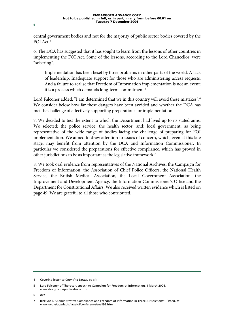central government bodies and not for the majority of public sector bodies covered by the FOI Act.4

6. The DCA has suggested that it has sought to learn from the lessons of other countries in implementing the FOI Act. Some of the lessons, according to the Lord Chancellor, were "sobering".

Implementation has been beset by three problems in other parts of the world. A lack of leadership. Inadequate support for those who are administering access requests. And a failure to realise that Freedom of Information implementation is not an event: it is a process which demands long-term commitment.<sup>5</sup>

Lord Falconer added: "I am determined that we in this country will avoid these mistakes".<sup>6</sup> We consider below how far these dangers have been avoided and whether the DCA has met the challenge of effectively supporting preparations for implementation.

7. We decided to test the extent to which the Department had lived up to its stated aims. We selected: the police service; the health sector; and; local government, as being representative of the wide range of bodies facing the challenge of preparing for FOI implementation. We aimed to draw attention to issues of concern, which, even at this late stage, may benefit from attention by the DCA and Information Commissioner. In particular we considered the preparations for effective compliance, which has proved in other jurisdictions to be as important as the legislative framework.7

8. We took oral evidence from representatives of the National Archives, the Campaign for Freedom of Information, the Association of Chief Police Officers, the National Health Service, the British Medical Association, the Local Government Association, the Improvement and Development Agency, the Information Commissioner's Office and the Department for Constitutional Affairs. We also received written evidence which is listed on page 49. We are grateful to all those who contributed.

<sup>4</sup> Covering letter to *Counting Down*, *op cit*

<sup>5</sup> Lord Falconer of Thoroton, speech to Campaign for Freedom of Information, 1 March 2004, www.dca.gov.uk/publications.htm

<sup>6</sup> *ibid* 

<sup>7</sup> Rick Snell, "Administrative Compliance and Freedom of Information in Three Jurisdictions", (1999), at www.ucc.ie/ucc/depts/law/foi/conference/snell99.html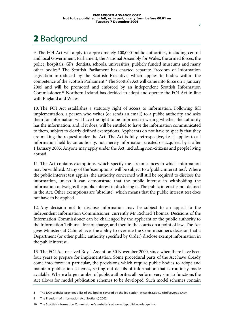## 2 Background

9. The FOI Act will apply to approximately 100,000 public authorities, including central and local Government, Parliament, the National Assembly for Wales, the armed forces, the police, hospitals, GPs, dentists, schools, universities, publicly funded museums and many other bodies.<sup>8</sup> The Scottish Parliament has enacted separate Freedom of Information legislation introduced by the Scottish Executive, which applies to bodies within the competence of the Scottish Parliament.<sup>9</sup> The Scottish Act will came into force on 1 January 2005 and will be promoted and enforced by an independent Scottish Information Commissioner.10 Northern Ireland has decided to adopt and operate the FOI Act in line with England and Wales.

10. The FOI Act establishes a statutory right of access to information. Following full implementation, a person who writes (or sends an email) to a public authority and asks them for information will have the right to be informed in writing whether the authority has the information, and, if it does, will be entitled to have the information communicated to them, subject to clearly defined exemptions. Applicants do not have to specify that they are making the request under the Act. The Act is fully retrospective, i.e. it applies to all information held by an authority, not merely information created or acquired by it after 1 January 2005. Anyone may apply under the Act, including non-citizens and people living abroad.

11. The Act contains exemptions, which specify the circumstances in which information may be withheld. Many of the 'exemptions' will be subject to a 'public interest test'. Where the public interest test applies, the authority concerned will still be required to disclose the information, unless it can demonstrate that the public interest in withholding the information outweighs the public interest in disclosing it. The public interest is not defined in the Act. Other exemptions are 'absolute', which means that the public interest test does not have to be applied.

12. Any decision not to disclose information may be subject to an appeal to the independent Information Commissioner, currently Mr Richard Thomas. Decisions of the Information Commissioner can be challenged by the applicant or the public authority to the Information Tribunal, free of charge, and then to the courts on a point of law. The Act gives Ministers at Cabinet level the ability to override the Commissioner's decision that a Department (or other public authority specified by Order) disclose exempt information in the public interest.

13. The FOI Act received Royal Assent on 30 November 2000, since when there have been four years to prepare for implementation. Some procedural parts of the Act have already come into force: in particular, the provisions which require public bodies to adopt and maintain publication schemes, setting out details of information that is routinely made available. Where a large number of public authorities all perform very similar functions the Act allows for model publication schemes to be developed. Such model schemes contain

<sup>8</sup> The DCA website provides a list of the bodies covered by the legislation. www.dca.gov.uk/foi/coverage.htm

<sup>9</sup> The Freedom of Information Act (Scotland) 2002

<sup>10</sup> The Scottish Information Commissioner's website is at www.itspublicknowledge.info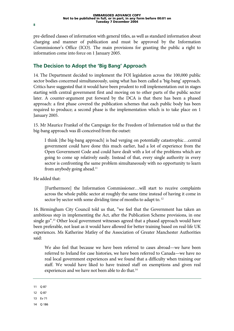pre-defined classes of information with general titles, as well as standard information about charging and manner of publication and must be approved by the Information Commissioner's Office (ICO). The main provisions for granting the public a right to information come into force on 1 January 2005.

### **The Decision to Adopt the 'Big Bang' Approach**

14. The Department decided to implement the FOI legislation across the 100,000 public sector bodies concerned simultaneously, using what has been called a 'big-bang' approach. Critics have suggested that it would have been prudent to roll implementation out in stages starting with central government first and moving on to other parts of the public sector later. A counter-argument put forward by the DCA is that there has been a phased approach: a first phase covered the publication schemes that each public body has been required to produce; a second phase is the implementation which is to take place on 1 January 2005.

15. Mr Maurice Frankel of the Campaign for the Freedom of Information told us that the big-bang approach was ill-conceived from the outset:

I think [the big-bang approach] is bad verging on potentially catastrophic…central government could have done this much earlier, had a lot of experience from the Open Government Code and could have dealt with a lot of the problems which are going to come up relatively easily. Instead of that, every single authority in every sector is confronting the same problem simultaneously with no opportunity to learn from anybody going ahead.<sup>11</sup>

He added that:

[Furthermore] the Information Commissioner…will start to receive complaints across the whole public sector at roughly the same time instead of having it come in sector by sector with some dividing time of months to adapt to.<sup>12</sup>

16. Birmingham City Council told us that, "we feel that the Government has taken an ambitious step in implementing the Act, after the Publication Scheme provisions, in one single go".13 Other local government witnesses agreed that a phased approach would have been preferable, not least as it would have allowed for better training based on real-life UK experiences. Ms Katherine Matley of the Association of Greater Manchester Authorities said:

We also feel that because we have been referred to cases abroad—we have been referred to Ireland for case histories, we have been referred to Canada—we have no real local government experiences and we found that a difficulty when training our staff. We would have liked to have trained staff on exemptions and given real experiences and we have not been able to do that.<sup>14</sup>

- 11 Q 87
- 12 Q 87
- 13 Ev 71
- 14 Q 186

**8**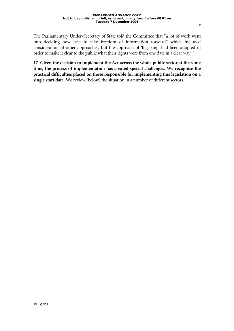The Parliamentary Under-Secretary of State told the Committee that "a lot of work went into deciding how best to take freedom of information forward" which included consideration of other approaches, but the approach of 'big bang' had been adopted in order to make it clear to the public what their rights were from one date in a clear way.<sup>15</sup>

17. **Given the decision to implement the Act across the whole public sector at the same time, the process of implementation has created special challenges. We recognise the practical difficulties placed on those responsible for implementing this legislation on a single start date.** We review (below) the situation in a number of different sectors.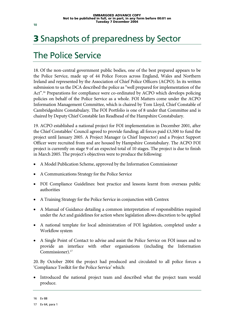# 3 Snapshots of preparedness by Sector

### The Police Service

18. Of the non-central government public bodies, one of the best prepared appears to be the Police Service, made up of 44 Police Forces across England, Wales and Northern Ireland and represented by the Association of Chief Police Officers (ACPO). In its written submission to us the DCA described the police as "well prepared for implementation of the Act".<sup>16</sup> Preparations for compliance were co-ordinated by ACPO which develops policing policies on behalf of the Police Service as a whole. FOI Matters come under the ACPO Information Management Committee, which is chaired by Tom Lloyd, Chief Constable of Cambridgeshire Constabulary. The FOI Portfolio is one of 8 under that Committee and is chaired by Deputy Chief Constable Ian Readhead of the Hampshire Constabulary.

19. ACPO established a national project for FOI implementation in December 2001, after the Chief Constables' Council agreed to provide funding; all forces paid £3,500 to fund the project until January 2005. A Project Manager (a Chief Inspector) and a Project Support Officer were recruited from and are housed by Hampshire Constabulary. The ACPO FOI project is currently on stage 9 of an expected total of 10 stages. The project is due to finish in March 2005. The project's objectives were to produce the following:

- A Model Publication Scheme, approved by the Information Commissioner
- A Communications Strategy for the Police Service
- FOI Compliance Guidelines: best practice and lessons learnt from overseas public authorities
- A Training Strategy for the Police Service in conjunction with Centrex
- A Manual of Guidance detailing a common interpretation of responsibilities required under the Act and guidelines for action where legislation allows discretion to be applied
- A national template for local administration of FOI legislation, completed under a Workflow system
- A Single Point of Contact to advise and assist the Police Service on FOI issues and to provide an interface with other organisations (including the Information Commissioner).<sup>17</sup>

20. By October 2004 the project had produced and circulated to all police forces a 'Compliance Toolkit for the Police Service' which:

Introduced the national project team and described what the project team would produce.

**10**

<sup>16</sup> Ev 88

<sup>17</sup> Ev 64, para 1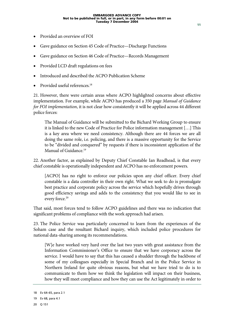- Provided an overview of FOI
- Gave guidance on Section 45 Code of Practice—Discharge Functions
- Gave guidance on Section 46 Code of Practice—Records Management
- Provided LCD draft regulations on fees
- Introduced and described the ACPO Publication Scheme
- Provided useful references.<sup>18</sup>

21. However, there were certain areas where ACPO highlighted concerns about effective implementation. For example, while ACPO has produced a 350 page *Manual of Guidance for FOI implementation*, it is not clear how consistently it will be applied across 44 different police forces:

The Manual of Guidance will be submitted to the Bichard Working Group to ensure it is linked to the new Code of Practice for Police information management […] This is a key area where we need consistency. Although there are 44 forces we are all doing the same role, i.e. policing, and there is a massive opportunity for the Service to be "divided and conquered" by requests if there is inconsistent application of the Manual of Guidance<sup>19</sup>

22. Another factor, as explained by Deputy Chief Constable Ian Readhead, is that every chief constable is operationally independent and ACPO has no enforcement powers.

[ACPO] has no right to enforce our policies upon any chief officer. Every chief constable is a data controller in their own right. What we seek to do is promulgate best practice and corporate policy across the service which hopefully drives through good efficiency savings and adds to the consistency that you would like to see in every force.<sup>20</sup>

That said, most forces tend to follow ACPO guidelines and there was no indication that significant problems of compliance with the work approach had arisen.

23. The Police Service was particularly concerned to learn from the experiences of the Soham case and the resultant Bichard inquiry, which included police procedures for national data-sharing among its recommendations.

[W]e have worked very hard over the last two years with great assistance from the Information Commissioner's Office to ensure that we have corporacy across the service. I would have to say that this has caused a shudder through the backbone of some of my colleagues especially in Special Branch and in the Police Service in Northern Ireland for quite obvious reasons, but what we have tried to do is to communicate to them how we think the legislation will impact on their business, how they will meet compliance and how they can use the Act legitimately in order to

<sup>18</sup> Ev 64–65, para 2.1

<sup>19</sup> Ev 68, para 4.1

<sup>20</sup> Q 151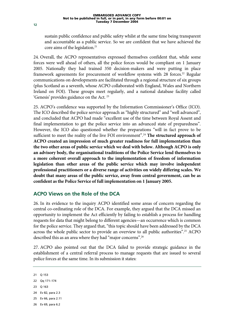sustain public confidence and public safety whilst at the same time being transparent and accountable as a public service. So we are confident that we have achieved the core aims of the legislation.<sup>21</sup>

24. Overall, the ACPO representatives expressed themselves confident that, while some forces were well ahead of others, all the police forces would be compliant on 1 January 2005. Nationally they had trained 350 decision-makers and were putting in place framework agreements for procurement of workflow systems with 28 forces.<sup>22</sup> Regular communications on developments are facilitated through a regional structure of six groups (plus Scotland as a seventh, whose ACPO collaborated with England, Wales and Northern Ireland on FOI). These groups meet regularly, and a national database facility called 'Genesis' provides guidance on the Act. 23

25. ACPO's confidence was supported by the Information Commissioner's Office (ICO). The ICO described the police service approach as "highly structured" and "well advanced", and concluded that ACPO had made "excellent use of the time between Royal Assent and final implementation to get the police service into an advanced state of preparedness". However, the ICO also questioned whether the preparations "will in fact prove to be sufficient to meet the reality of the live FOI environment".<sup>24</sup> The structured approach of **ACPO created an impression of much greater readiness for full implementation than the two other areas of public service which we deal with below. Although ACPO is only an advisory body, the organisational traditions of the Police Service lend themselves to a more coherent overall approach to the implementation of freedom of information legislation than other areas of the public service which may involve independent professional practitioners or a diverse range of activities on widely differing scales. We doubt that many areas of the public service, away from central government, can be as confident as the Police Service of full implementation on 1 January 2005.**

#### **ACPO Views on the Role of the DCA**

26. In its evidence to the inquiry ACPO identified some areas of concern regarding the central co-ordinating role of the DCA. For example, they argued that the DCA missed an opportunity to implement the Act efficiently by failing to establish a process for handling requests for data that might belong to different agencies—an occurrence which is common for the police service. They argued that, "this topic should have been addressed by the DCA across the whole public sector to provide an overview to all public authorities".<sup>25</sup> ACPO described this as an area where they had "major concerns".<sup>26</sup>

27. ACPO also pointed out that the DCA failed to provide strategic guidance in the establishment of a central referral process to manage requests that are issued to several police forces at the same time. In its submission it states:

- 23 Q 163
- 24 Ev 82, para 2.3
- 25 Ev 66, para 2.11
- 26 Ev 69, para 6.2

**12**

<sup>21</sup> Q 153

<sup>22</sup> Qq 171–174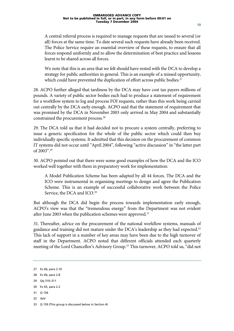A central referral process is required to manage requests that are issued to several (or all) forces at the same time. To date several such requests have already been received. The Police Service require an essential overview of these requests, to ensure that all forces respond uniformly and to allow the determination of best practice and lessons learnt to be shared across all forces.

We note that this is an area that we felt should have rested with the DCA to develop a strategy for public authorities in general. This is an example of a missed opportunity, which could have prevented the duplication of effort across public bodies.<sup>27</sup>

28. ACPO further alleged that tardiness by the DCA may have cost tax payers millions of pounds. A variety of public sector bodies each had to produce a statement of requirement for a workflow system to log and process FOI requests, rather than this work being carried out centrally by the DCA early enough. ACPO said that the statement of requirement that was promised by the DCA in November 2003 only arrived in May 2004 and substantially constrained the procurement process.28

29. The DCA told us that it had decided not to procure a system centrally, preferring to issue a generic specification for the whole of the public sector which could then buy individually specific systems. It admitted that this decision on the procurement of common IT systems did not occur until "April 2004", following "active discussion" in "the latter part of 2003".29

30. ACPO pointed out that there were some good examples of how the DCA and the ICO worked well together with them in preparatory work for implementation:

A Model Publication Scheme has been adapted by all 44 forces. The DCA and the ICO were instrumental in organising meetings to design and agree the Publication Scheme. This is an example of successful collaborative work between the Police Service, the DCA and ICO.<sup>30</sup>

But although the DCA did begin the process towards implementation early enough, ACPO's view was that the "tremendous energy" from the Department was not evident after June 2003 when the publication schemes were approved.<sup>31</sup>

31. Thereafter, advice on the procurement of the national workflow systems, manuals of guidance and training did not mature under the DCA's leadership as they had expected.<sup>32</sup> This lack of support in a number of key areas may have been due to the high turnover of staff in the Department. ACPO noted that different officials attended each quarterly meeting of the Lord Chancellor's Advisory Group.<sup>33</sup> This turnover, ACPO told us, "did not

- 28 Ev 66, para 2.8
- 29 Qq 310–311
- 30 Ev 65, para 2.2
- 31 Q 156
- 32 *ibid*

<sup>27</sup> Ev 66, para 2.10

<sup>33</sup> Q 159 (This group is discussed below in Section 4)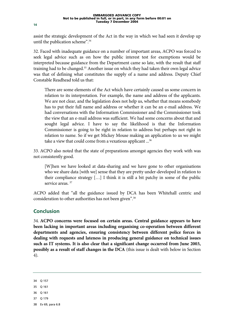assist the strategic development of the Act in the way in which we had seen it develop up until the publication scheme".34

32. Faced with inadequate guidance on a number of important areas, ACPO was forced to seek legal advice such as on how the public interest test for exemptions would be interpreted because guidance from the Department came so late, with the result that staff training had to be changed.<sup>35</sup> Another issue on which they had taken their own legal advice was that of defining what constitutes the supply of a name and address. Deputy Chief Constable Readhead told us that:

There are some elements of the Act which have certainly caused us some concern in relation to its interpretation. For example, the name and address of the applicants. We are not clear, and the legislation does not help us, whether that means somebody has to put their full name and address or whether it can be an e-mail address. We had conversations with the Information Commissioner and the Commissioner took the view that an e-mail address was sufficient. We had some concerns about that and sought legal advice. I have to say the likelihood is that the Information Commissioner is going to be right in relation to address but perhaps not right in relation to name. So if we get Mickey Mouse making an application to us we might take a view that could come from a vexatious applicant ...36

33. ACPO also noted that the state of preparations amongst agencies they work with was not consistently good.

[W]hen we have looked at data-sharing and we have gone to other organisations who we share data [with we] sense that they are pretty under-developed in relation to their compliance strategy […] I think it is still a bit patchy in some of the public service areas.<sup>37</sup>

ACPO added that "all the guidance issued by DCA has been Whitehall centric and consideration to other authorities has not been given".<sup>38</sup>

### **Conclusion**

34. **ACPO concerns were focused on certain areas. Central guidance appears to have been lacking in important areas including organising co-operation between different departments and agencies, ensuring consistency between different police forces in dealing with requests and lateness in producing general guidance on technical issues such as IT systems. It is also clear that a significant change occurred from June 2003, possibly as a result of staff changes in the DCA** (this issue is dealt with below in Section 4).

34 Q 157 35 Q 161 36 Q 161 37 Q 179 38 Ev 69, para 6.8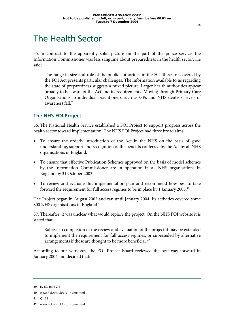### The Health Sector

35. In contrast to the apparently solid picture on the part of the police service, the Information Commissioner was less sanguine about preparedness in the health sector. He said:

The range in size and role of the public authorities in the Health sector covered by the FOI Act presents particular challenges. The information available to us regarding the state of preparedness suggests a mixed picture. Larger health authorities appear broadly to be aware of the Act and its requirements. Moving through Primary Care Organisations to individual practitioners such as GPs and NHS dentists, levels of awareness fall.<sup>39</sup>

#### **The NHS FOI Project**

36. The National Health Service established a FOI Project to support progress across the health sector toward implementation. The NHS FOI Project had three broad aims:

- To ensure the orderly introduction of the Act in the NHS on the basis of good understanding, support and recognition of the benefits conferred by the Act by all NHS organisations in England.
- To ensure that effective Publication Schemes approved on the basis of model schemes by the Information Commissioner are in operation in all NHS organisations in England by 31 October 2003.
- To review and evaluate this implementation plan and recommend how best to take forward the requirement for full access regimes to be in place by 1 January 2005.40

The Project began in August 2002 and ran until January 2004. Its activities covered some 800 NHS organisations in England.<sup>41</sup>

37. Thereafter, it was unclear what would replace the project. On the NHS FOI website it is stated that:

Subject to completion of the review and evaluation of the project it may be extended to implement the requirement for full access regimes, or superseded by alternative arrangements if these are thought to be more beneficial. 42

According to our witnesses, the FOI Project Board reviewed the best way forward in January 2004 and decided that:

41 Q 129

<sup>39</sup> Ev 82, para 2.4

<sup>40</sup> www.foi.nhs.uk/proj\_home.html

<sup>42</sup> www.foi.nhs.uk/proj\_home.html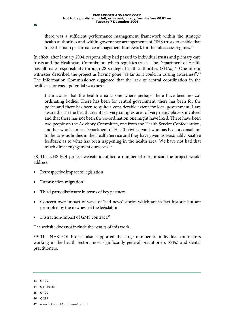there was a sufficient performance management framework within the strategic health authorities and within governance arrangements of NHS trusts to enable that to be the main performance management framework for the full access regimes.<sup>43</sup>

In effect, after January 2004, responsibility had passed to individual trusts and primary care trusts and the Healthcare Commission, which regulates trusts. The Department of Health has ultimate responsibility through 28 strategic health authorities (SHAs).<sup>44</sup> One of our witnesses described the project as having gone "as far as it could in raising awareness".<sup>45</sup> The Information Commissioner suggested that the lack of central coordination in the health sector was a potential weakness.

I am aware that the health area is one where perhaps there have been no coordinating bodies. There has been for central government, there has been for the police and there has been to quite a considerable extent for local government. I am aware that in the health area it is a very complex area of very many players involved and that there has not been the co-ordination one might have liked. There have been two people on the Advisory Committee, one from the Health Service Confederation, another who is an ex-Department of Health civil servant who has been a consultant to the various bodies in the Health Service and they have given us reasonably positive feedback as to what has been happening in the health area. We have not had that much direct engagement ourselves.<sup>46</sup>

38. The NHS FOI project website identified a number of risks it said the project would address:

- Retrospective impact of legislation
- 'Information migration'
- Third party disclosure in terms of key partners
- Concern over impact of wave of 'bad news' stories which are in fact historic but are prompted by the newness of the legislation
- Distraction/impact of GMS contract.<sup>47</sup>

The website does not include the results of this work.

39. The NHS FOI Project also supported the large number of individual contractors working in the health sector, most significantly general practitioners (GPs) and dental practitioners.

- 45 Q 129
- 46 Q 287

**16**

<sup>43</sup> Q 129

<sup>44</sup> Qq 130–134

<sup>47</sup> www.foi.nhs.uk/proj\_benefits.html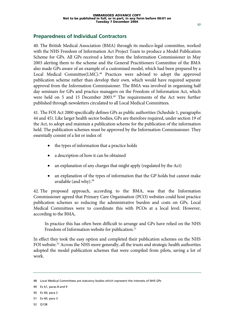#### **Preparedness of Individual Contractors**

40. The British Medical Association (BMA) through its medico-legal committee, worked with the NHS Freedom of Information Act Project Team to produce a Model Publication Scheme for GPs. All GPs received a letter from the Information Commissioner in May 2003 alerting them to the scheme and the General Practitioners Committee of the BMA also made GPs aware of an example of a customised model, which had been prepared by a Local Medical Committee(LMC).<sup>48</sup> Practices were advised to adopt the approved publication scheme rather than develop their own, which would have required separate approval from the Information Commissioner. The BMA was involved in organising half day seminars for GPs and practice managers on the Freedom of Information Act, which were held on 5 and 15 December 2003.<sup>49</sup> The requirements of the Act were further published through newsletters circulated to all Local Medical Committees.

41. The FOI Act 2000 specifically defines GPs as public authorities (Schedule 1, paragraphs 44 and 45). Like larger health sector bodies, GPs are therefore required, under section 19 of the Act, to adopt and maintain a publication scheme for the publication of the information held. The publication schemes must be approved by the Information Commissioner. They essentially consist of a list or index of:

- the types of information that a practice holds
- a description of how it can be obtained
- an explanation of any charges that might apply (regulated by the Act)
- an explanation of the types of information that the GP holds but cannot make available (and why).<sup>50</sup>

42. The proposed approach, according to the BMA, was that the Information Commissioner agreed that Primary Care Organisation (PCO) websites could host practice publication schemes so reducing the administrative burden and costs on GPs. Local Medical Committees were to coordinate this with PCOs at a local level. However, according to the BMA,

In practice this has often been difficult to arrange and GPs have relied on the NHS Freedom of Information website for publication.<sup>51</sup>

In effect they took the easy option and completed their publication schemes on the NHS FOI website.<sup>52</sup> Across the NHS more generally, all the trusts and strategic health authorities adopted the model publication schemes that were compiled from pilots, saving a lot of work.

52 Q138

<sup>48</sup> Local Medical Committees are statutory bodies which represent the interests of NHS GPs

<sup>49</sup> Ev 61, paras 8 and 9

<sup>50</sup> Ev 60, para 2

<sup>51</sup> Ev 60, para 3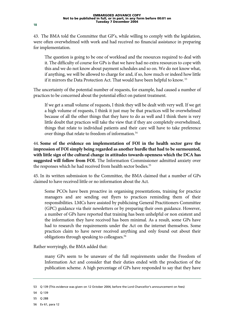43. The BMA told the Committee that GP's, while willing to comply with the legislation, were often overwhelmed with work and had received no financial assistance in preparing for implementation.

The question is going to be one of workload and the resources required to deal with it. The difficulty of course for GPs is that we have had no extra resources to cope with this and we do not know about payment schedules and so on. We do not know what, if anything, we will be allowed to charge for and, if so, how much or indeed how little if it mirrors the Data Protection Act. That would have been helpful to know. 53

The uncertainty of the potential number of requests, for example, had caused a number of practices to be concerned about the potential effect on patient treatment.

If we get a small volume of requests, I think they will be dealt with very well. If we get a high volume of requests, I think it just may be that practices will be overwhelmed because of all the other things that they have to do as well and I think there is very little doubt that practices will take the view that if they are completely overwhelmed, things that relate to individual patients and their care will have to take preference over things that relate to freedom of information.<sup>54</sup>

44. **Some of the evidence on implementation of FOI in the health sector gave the impression of FOI simply being regarded as another hurdle that had to be surmounted, with little sign of the cultural change in attitudes towards openness which the DCA has suggested will follow from FOI.** The Information Commissioner admitted anxiety over the responses which he had received from health sector bodies.<sup>55</sup>

45. In its written submission to the Committee, the BMA claimed that a number of GPs claimed to have received little or no information about the Act.

Some PCOs have been proactive in organising presentations, training for practice managers and are sending out flyers to practices reminding them of their responsibilities. LMCs have assisted by publicising General Practitioners Committee (GPC) guidance via their newsletters or by preparing their own guidance. However, a number of GPs have reported that training has been unhelpful or non existent and the information they have received has been minimal. As a result, some GPs have had to research the requirements under the Act on the internet themselves. Some practices claim to have never received anything and only found out about their obligations through speaking to colleagues.<sup>56</sup>

Rather worryingly, the BMA added that:

many GPs seem to be unaware of the full requirements under the Freedom of Information Act and consider that their duties ended with the production of the publication scheme. A high percentage of GPs have responded to say that they have

<sup>53</sup> Q 139 (This evidence was given on 12 October 2004, before the Lord Chancellor's announcement on fees)

<sup>54</sup> Q 139

<sup>55</sup> Q 288

<sup>56</sup> Ev 61, para 12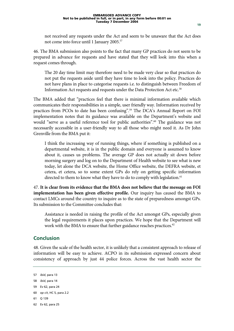not received any requests under the Act and seem to be unaware that the Act does not come into force until 1 January 2005.57

46. The BMA submission also points to the fact that many GP practices do not seem to be prepared in advance for requests and have stated that they will look into this when a request comes through.

The 20 day time limit may therefore need to be made very clear so that practices do not put the requests aside until they have time to look into the policy. Practices do not have plans in place to categorise requests i.e. to distinguish between Freedom of Information Act requests and requests under the Data Protection Act etc.<sup>58</sup>

The BMA added that "practices feel that there is minimal information available which communicates their responsibilities in a simple, user friendly way. Information received by practices from PCOs to date has been confusing".59 The DCA's Annual Report on FOI implementation notes that its guidance was available on the Department's website and would "serve as a useful reference tool for public authorities".<sup>60</sup> The guidance was not necessarily accessible in a user-friendly way to all those who might need it. As Dr John Grenville from the BMA put it:

I think the increasing way of running things, where if something is published on a departmental website, it is in the public domain and everyone is assumed to know about it, causes us problems. The average GP does not actually sit down before morning surgery and log on to the Department of Health website to see what is new today, let alone the DCA website, the Home Office website, the DEFRA website, et cetera, et cetera, so to some extent GPs do rely on getting specific information directed to them to know what they have to do to comply with legislation.<sup>61</sup>

47. **It is clear from its evidence that the BMA does not believe that the message on FOI implementation has been given effective profile.** Our inquiry has caused the BMA to contact LMCs around the country to inquire as to the state of preparedness amongst GPs. Its submission to the Committee concludes that:

Assistance is needed in raising the profile of the Act amongst GPs, especially given the legal requirements it places upon practices. We hope that the Department will work with the BMA to ensure that further guidance reaches practices.<sup>62</sup>

#### **Conclusion**

48. Given the scale of the health sector, it is unlikely that a consistent approach to release of information will be easy to achieve. ACPO in its submission expressed concern about consistency of approach by just 44 police forces. Across the vast health sector the

```
57 ibid, para 13
```

```
58 ibid, para 14
```

```
59 Ev 62, para 24
```

```
60 op cit, HC 5, para 2.2
```

```
61 Q 139
```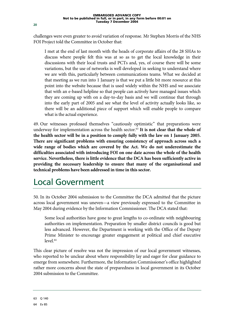challenges were even greater to avoid variation of response. Mr Stephen Morris of the NHS FOI Project told the Committee in October that:

I met at the end of last month with the heads of corporate affairs of the 28 SHAs to discuss where people felt this was at so as to get the local knowledge in their discussions with their local trusts and PCTs and, yes, of course there will be some variations, but the use of networks is well developed in seeking to understand where we are with this, particularly between communications teams. What we decided at that meeting as we run into 1 January is that we put a little bit more resource at this point into the website because that is used widely within the NHS and we associate that with an e-based helpline so that people can actively have managed issues which they are coming up with on a day-to-day basis and we will continue that through into the early part of 2005 and see what the level of activity actually looks like, so there will be an additional piece of support which will enable people to compare what is the actual experience.

49. Our witnesses professed themselves "cautiously optimistic" that preparations were underway for implementation across the health sector.<sup>63</sup> It is not clear that the whole of **the health sector will be in a position to comply fully with the law on 1 January 2005. There are significant problems with ensuring consistency of approach across such a wide range of bodies which are covered by the Act. We do not underestimate the difficulties associated with introducing FOI on one date across the whole of the health service. Nevertheless, there is little evidence that the DCA has been sufficiently active in providing the necessary leadership to ensure that many of the organisational and technical problems have been addressed in time in this sector.**

### Local Government

50. In its October 2004 submission to the Committee the DCA admitted that the picture across local government was uneven—a view previously expressed to the Committee in May 2004 during evidence by the Information Commissioner. The DCA stated that:

Some local authorities have gone to great lengths to co-ordinate with neighbouring authorities on implementation. Preparation by smaller district councils is good but less advanced. However, the Department is working with the Office of the Deputy Prime Minister to encourage greater engagement at political and chief executive level.<sup>64</sup>

This clear picture of resolve was not the impression of our local government witnesses, who reported to be unclear about where responsibility lay and eager for clear guidance to emerge from somewhere. Furthermore, the Information Commissioner's office highlighted rather more concerns about the state of preparedness in local government in its October 2004 submission to the Committee.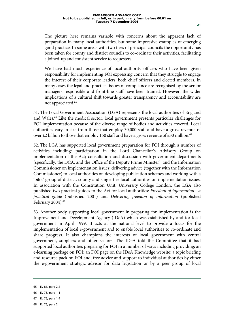The picture here remains variable with concerns about the apparent lack of preparation in many local authorities, but some impressive examples of emerging good practice. In some areas with two tiers of principal councils the opportunity has been taken for county and district councils to co-ordinate their activities, facilitating a joined-up and consistent service to requesters.

We have had much experience of local authority officers who have been given responsibility for implementing FOI expressing concern that they struggle to engage the interest of their corporate leaders, both chief officers and elected members. In many cases the legal and practical issues of compliance are recognised by the senior managers responsible and front-line staff have been trained. However, the wider implications of a cultural shift towards greater transparency and accountability are not appreciated.65

51. The Local Government Association (LGA) represents the local authorities of England and Wales.<sup>66</sup> Like the medical sector, local government presents particular challenges for FOI implementation because of the diverse range of bodies and activities covered. Local authorities vary in size from those that employ 30,000 staff and have a gross revenue of over £2 billion to those that employ 150 staff and have a gross revenue of £30 million.<sup>67</sup>

52. The LGA has supported local government preparation for FOI through a number of activities including: participation in the Lord Chancellor's Advisory Group on implementation of the Act; consultation and discussion with government departments (specifically, the DCA, and the Office of the Deputy Prime Minister), and the Information Commissioner on implementation issues; delivering advice (together with the Information Commissioner) to local authorities on developing publication schemes and working with a 'pilot' group of district, county and single-tier local authorities on implementation issues. In association with the Constitution Unit, University College London, the LGA also published two practical guides to the Act for local authorities: *Freedom of information—a practical guide* (published 2001) and *Delivering freedom of information* (published February 2004).<sup>68</sup>

53. Another body supporting local government in preparing for implementation is the Improvement and Development Agency (IDeA) which was established by and for local government in April 1999. It acts at the national level to provide a focus for the implementation of local e-government and to enable local authorities to co-ordinate and share progress. It also champions the interests of local government with central government, suppliers and other sectors. The IDeA told the Committee that it had supported local authorities preparing for FOI in a number of ways including providing: an e-learning package on FOI; an FOI page on the IDeA Knowledge website; a topic briefing and resource pack on FOI and; free advice and support to individual authorities by either the e-government strategic advisor for data legislation or by a peer group of local

68 Ev 76, para 2

<sup>65</sup> Ev 81, para 2.2

<sup>66</sup> Ev 75, para 1.1

<sup>67</sup> Ev 76, para 1.4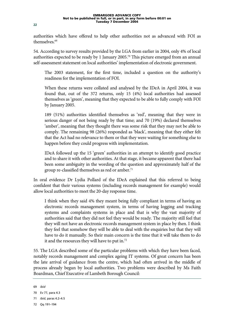authorities which have offered to help other authorities not as advanced with FOI as themselves.<sup>69</sup>

54. According to survey results provided by the LGA from earlier in 2004, only 4% of local authorities expected to be ready by 1 January 2005.<sup>70</sup> This picture emerged from an annual self-assessment statement on local authorities' implementation of electronic government.

The 2003 statement, for the first time, included a question on the authority's readiness for the implementation of FOI.

When these returns were collated and analysed by the IDeA in April 2004, it was found that, out of the 372 returns, only 15 (4%) local authorities had assessed themselves as 'green', meaning that they expected to be able to fully comply with FOI by January 2005.

189 (51%) authorities identified themselves as 'red', meaning that they were in serious danger of not being ready by that time; and 70 (19%) declared themselves 'amber', meaning that they thought there was some risk that they may not be able to comply. The remaining 98 (26%) responded as 'black', meaning that they either felt that the Act had no relevance to them or that they were waiting for something else to happen before they could progress with implementation.

IDeA followed up the 15 'green' authorities in an attempt to identify good practice and to share it with other authorities. At that stage, it became apparent that there had been some ambiguity in the wording of the question and approximately half of the group re-classified themselves as red or amber.<sup>71</sup>

In oral evidence Dr Lydia Pollard of the IDeA explained that this referred to being confident that their various systems (including records management for example) would allow local authorities to meet the 20-day response time.

I think when they said 4% they meant being fully compliant in terms of having an electronic records management system, in terms of having logging and tracking systems and complaints systems in place and that is why the vast majority of authorities said that they did not feel they would be ready. The majority still feel that they will not have an electronic records management system in place by then. I think they feel that somehow they will be able to deal with the enquiries but that they will have to do it manually. So their main concern is the time that it will take them to do it and the resources they will have to put in.72

55. The LGA described some of the particular problems with which they have been faced, notably records management and complex ageing IT systems. Of great concern has been the late arrival of guidance from the centre, which had often arrived in the middle of process already begun by local authorities. Two problems were described by Ms Faith Boardman, Chief Executive of Lambeth Borough Council:

72 Qq 191–194

<sup>69</sup> *ibid* 

<sup>70</sup> Ev 77, para 4.3

<sup>71</sup> *ibid*, paras 4.2–4.5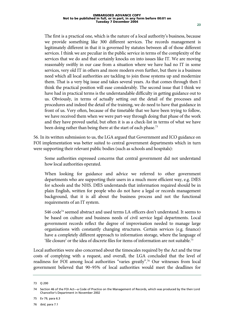The first is a practical one, which is the nature of a local authority's business, because we provide something like 300 different services. The records management is legitimately different in that it is governed by statutes between all of those different services. I think we are peculiar in the public service in terms of the complexity of the services that we do and that certainly knocks on into issues like IT. We are moving reasonably swiftly in our case from a situation where we have had no IT in some services, very old IT in others and more modern even further, but there is a business need which all local authorities are tackling to join those systems up and modernize them. That is a very big issue and takes several years. As that comes through then I think the practical position will ease considerably. The second issue that I think we have had in practical terms is the understandable difficulty in getting guidance out to us. Obviously, in terms of actually setting out the detail of the processes and procedures and indeed the detail of the training, we do need to have that guidance in front of us. Very often, because of the timetable that we have been trying to follow, we have received them when we were part-way through doing that phase of the work and they have proved useful, but often it is as a check-list in terms of what we have been doing rather than being there at the start of each phase.<sup>73</sup>

56. In its written submission to us, the LGA argued that Government and ICO guidance on FOI implementation was better suited to central government departments which in turn were supporting their relevant public bodies (such as schools and hospitals):

Some authorities expressed concerns that central government did not understand how local authorities operated.

When looking for guidance and advice we referred to other government departments who are supporting their users in a much more efficient way, e.g. DfES for schools and the NHS. DfES understands that information required should be in plain English, written for people who do not have a legal or records management background, that it is all about the business process and not the functional requirements of an IT system.

S46 code<sup>74</sup> seemed abstract and used terms LA officers don't understand. It seems to be based on culture and business needs of civil service legal departments. Local government records reflect the degree of improvisation needed to manage large organisations with constantly changing structures. Certain services (e.g. finance) have a completely different approach to information storage, where the language of 'file closure' or the idea of discrete files for items of information are not suitable.75

Local authorities were also concerned about the timescales required by the Act and the true costs of complying with a request, and overall, the LGA concluded that the level of readiness for FOI among local authorities "varies greatly".76 Our witnesses from local government believed that 90–95% of local authorities would meet the deadlines for

76 *ibid*, para 7.1

<sup>73</sup> Q 200

<sup>74</sup> Section 46 of the FOI Act—a Code of Practice on the Management of Records, which was produced by the then Lord Chancellor's Department in November 2002

<sup>75</sup> Ev 79, para 6.3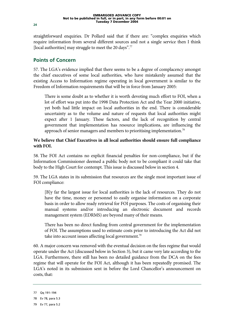straightforward enquiries. Dr Pollard said that if there are: "complex enquiries which require information from several different sources and not a single service then I think [local authorities] may struggle to meet the 20 days".<sup>77</sup>

#### **Points of Concern**

57. The LGA's evidence implied that there seems to be a degree of complacency amongst the chief executives of some local authorities, who have mistakenly assumed that the existing Access to Information regime operating in local government is similar to the Freedom of Information requirements that will be in force from January 2005:

There is some doubt as to whether it is worth devoting much effort to FOI, when a lot of effort was put into the 1998 Data Protection Act and the Year 2000 initiative, yet both had little impact on local authorities in the end. There is considerable uncertainty as to the volume and nature of requests that local authorities might expect after 1 January. These factors, and the lack of recognition by central government that implementation has resource implications, are influencing the approach of senior managers and members to prioritising implementation.78

#### **We believe that Chief Executives in all local authorities should ensure full compliance with FOI.**

58. The FOI Act contains no explicit financial penalties for non-compliance, but if the Information Commissioner deemed a public body not to be compliant it could take that body to the High Court for contempt. This issue is discussed below in section 4.

59. The LGA states in its submission that resources are the single most important issue of FOI compliance:

[B]y far the largest issue for local authorities is the lack of resources. They do not have the time, money or personnel to easily organise information on a corporate basis in order to allow ready retrieval for FOI purposes. The costs of organising their manual systems and/or introducing an electronic document and records management system (EDRMS) are beyond many of their means.

There has been no direct funding from central government for the implementation of FOI. The assumptions used to estimate costs prior to introducing the Act did not take into account issues affecting local government.<sup>79</sup>

60. A major concern was removed with the eventual decision on the fees regime that would operate under the Act (discussed below in Section 3), but it came very late according to the LGA. Furthermore, there still has been no detailed guidance from the DCA on the fees regime that will operate for the FOI Act, although it has been repeatedly promised. The LGA's noted in its submission sent in before the Lord Chancellor's announcement on costs, that:

<sup>77</sup> Qq 191–194

<sup>78</sup> Ev 78, para 5.3

<sup>79</sup> Ev 77, para 5.2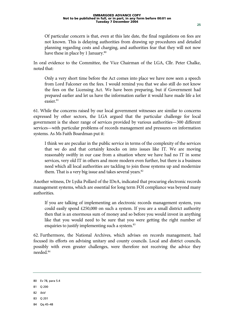Of particular concern is that, even at this late date, the final regulations on fees are not known. This is delaying authorities from drawing up procedures and detailed planning regarding costs and charging, and authorities fear that they will not now have these in place by 1 January.<sup>80</sup>

In oral evidence to the Committee, the Vice Chairman of the LGA, Cllr. Peter Chalke, noted that:

Only a very short time before the Act comes into place we have now seen a speech from Lord Falconer on the fees. I would remind you that we also still do not know the fees on the Licensing Act. We have been preparing, but if Government had prepared earlier and let us have the information earlier it would have made life a lot easier.<sup>81</sup>

61. While the concerns raised by our local government witnesses are similar to concerns expressed by other sectors, the LGA argued that the particular challenge for local government is the sheer range of services provided by various authorities—300 different services—with particular problems of records management and pressures on information systems. As Ms Faith Boardman put it:

I think we are peculiar in the public service in terms of the complexity of the services that we do and that certainly knocks on into issues like IT. We are moving reasonably swiftly in our case from a situation where we have had no IT in some services, very old IT in others and more modern even further, but there is a business need which all local authorities are tackling to join those systems up and modernize them. That is a very big issue and takes several years.<sup>82</sup>

Another witness, Dr Lydia Pollard of the IDeA, indicated that procuring electronic records management systems, which are essential for long term FOI compliance was beyond many authorities.

If you are talking of implementing an electronic records management system, you could easily spend £250,000 on such a system. If you are a small district authority then that is an enormous sum of money and so before you would invest in anything like that you would need to be sure that you were getting the right number of enquiries to justify implementing such a system.<sup>83</sup>

62. Furthermore, the National Archives, which advises on records management, had focused its efforts on advising unitary and county councils. Local and district councils, possibly with even greater challenges, were therefore not receiving the advice they needed.84

- 82 *ibid*
- 83 Q 201
- 84 Qq 45–48

<sup>80</sup> Ev 78, para 5.4

<sup>81</sup> Q 200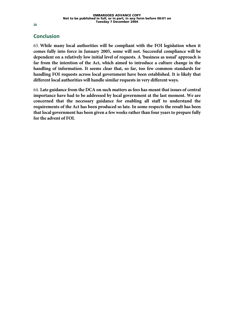### **Conclusion**

63. **While many local authorities will be compliant with the FOI legislation when it comes fully into force in January 2005, some will not. Successful compliance will be dependent on a relatively low initial level of requests. A 'business as usual' approach is far from the intention of the Act, which aimed to introduce a culture change in the handling of information. It seems clear that, so far, too few common standards for handling FOI requests across local government have been established. It is likely that different local authorities will handle similar requests in very different ways.**

64. **Late guidance from the DCA on such matters as fees has meant that issues of central importance have had to be addressed by local government at the last moment. We are concerned that the necessary guidance for enabling all staff to understand the requirements of the Act has been produced so late. In some respects the result has been that local government has been given a few weeks rather than four years to prepare fully for the advent of FOI.**

**26**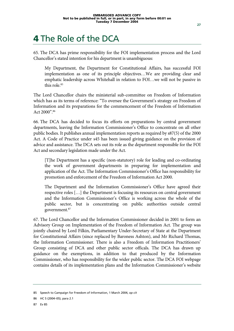# 4 The Role of the DCA

65. The DCA has prime responsibility for the FOI implementation process and the Lord Chancellor's stated intention for his department is unambiguous:

My Department, the Department for Constitutional Affairs, has successful FOI implementation as one of its principle objectives…We are providing clear and emphatic leadership across Whitehall in relation to FOI…we will not be passive in this role<sup>85</sup>

The Lord Chancellor chairs the ministerial sub-committee on Freedom of Information which has as its terms of reference: "To oversee the Government's strategy on Freedom of Information and its preparations for the commencement of the Freedom of Information Act 2000".86

66. The DCA has decided to focus its efforts on preparations by central government departments, leaving the Information Commissioner's Office to concentrate on all other public bodies. It publishes annual implementation reports as required by s87(5) of the 2000 Act. A Code of Practice under s45 has been issued giving guidance on the provision of advice and assistance. The DCA sets out its role as the department responsible for the FOI Act and secondary legislation made under the Act.

[T]he Department has a specific (non-statutory) role for leading and co-ordinating the work of government departments in preparing for implementation and application of the Act. The Information Commissioner's Office has responsibility for promotion and enforcement of the Freedom of Information Act 2000.

The Department and the Information Commissioner's Office have agreed their respective roles […] the Department is focusing its resources on central government and the Information Commissioner's Office is working across the whole of the public sector, but is concentrating on public authorities outside central government.87

67. The Lord Chancellor and the Information Commissioner decided in 2001 to form an Advisory Group on Implementation of the Freedom of Information Act. The group was jointly chaired by Lord Filkin, Parliamentary Under-Secretary of State at the Department for Constitutional Affairs (since replaced by Baroness Ashton), and Mr Richard Thomas, the Information Commissioner. There is also a Freedom of Information Practitioners' Group consisting of DCA and other public sector officals. The DCA has drawn up guidance on the exemptions, in addition to that produced by the Information Commissioner, who has responsibility for the wider public sector. The DCA FOI webpage contains details of its implementation plans and the Information Commissioner's website

<sup>85</sup> Speech to Campaign for Freedom of Information, 1 March 2004, *op cit* 

<sup>86</sup> HC 5 (2004–05), para 2.1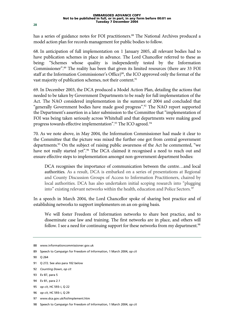has a series of guidance notes for FOI practitioners.<sup>88</sup> The National Archives produced a model action plan for records management for public bodies to follow.

68. In anticipation of full implementation on 1 January 2005, all relevant bodies had to have publication schemes in place in advance. The Lord Chancellor referred to these as being: "Schemes whose quality is independently tested by the Information Commissioner".89 The reality has been that given its limited resources (there are 33 FOI staff at the Information Commissioner's Office)<sup>90</sup>, the ICO approved only the format of the vast majority of publication schemes, not their content.<sup>91</sup>

69. In December 2003, the DCA produced a Model Action Plan, detailing the actions that needed to be taken by Government Departments to be ready for full implementation of the Act. The NAO considered implementation in the summer of 2004 and concluded that "generally Government bodies have made good progress".<sup>92</sup> The NAO report supported the Department's assertion in a later submission to the Committee that "implementation of FOI was being taken seriously across Whitehall and that departments were making good progress towards effective implementation".<sup>93</sup> The ICO agreed.<sup>94</sup>

70. As we note above, in May 2004, the Information Commissioner had made it clear to the Committee that the picture was mixed the further one got from central government departments.<sup>95</sup> On the subject of raising public awareness of the Act he commented, "we have not really started yet".<sup>96</sup> The DCA claimed it recognised a need to reach out and ensure effective steps to implementation amongst non-government department bodies:

DCA recognises the importance of communication between the centre…and local authorities. As a result, DCA is embarked on a series of presentations at Regional and County Discussion Groups of Access to Information Practitioners, chaired by local authorities. DCA has also undertaken initial scoping research into "plugging into" existing relevant networks within the health, education and Police Sectors. 97

In a speech in March 2004, the Lord Chancellor spoke of sharing best practice and of establishing networks to support implementers on an on-going basis.

We will foster Freedom of Information networks to share best practice, and to disseminate case law and training. The first networks are in place, and others will follow. I see a need for continuing support for these networks from my department.<sup>98</sup>

97 www.dca.gov.uk/foi/implement.htm

<sup>88</sup> www.informationcommissioner.gov.uk

<sup>89</sup> Speech to Campaign for Freedom of Information, 1 March 2004, *op cit* 

<sup>90</sup> Q 264

<sup>91</sup> Q 272. See also para 102 below

<sup>92</sup> *Counting Down*, *op cit*

<sup>93</sup> Ev 87, para 5

<sup>94</sup> Ev 81, para 2.1

<sup>95</sup> *op cit*, HC 593–i, Q 22

<sup>96</sup> *op cit*, HC 593–i, Q 29

<sup>98</sup> Speech to Campaign for Freedom of Information, 1 March 2004, *op cit*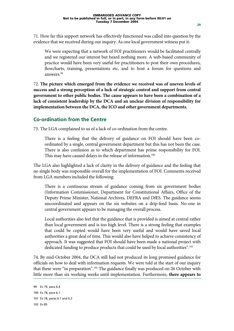71. How far this support network has effectively functioned was called into question by the evidence that we received during our inquiry. As one local government witness put it:

We were expecting that a network of FOI practitioners would be facilitated centrally and we registered our interest but heard nothing more. A web-based community of practice would have been very useful for practitioners to post their own procedures, flowcharts, training, presentations etc, and to host a forum for questions and answers.99

72. **The picture which emerged from the evidence we received was of uneven levels of success and a strong perception of a lack of strategic control and support from central government to other public bodies. The cause appears to have been a combination of a lack of consistent leadership by the DCA and an unclear division of responsibility for implementation between the DCA, the ICO and other government departments.**

#### **Co-ordination from the Centre**

73. The LGA complained to us of a lack of co-ordination from the centre.

There is a feeling that the delivery of guidance on FOI should have been coordinated by a single, central government department but this has not been the case. There is also confusion as to which department has prime responsibility for FOI. This may have caused delays in the release of information.<sup>100</sup>

The LGA also highlighted a lack of clarity in the delivery of guidance and the feeling that no single body was responsible overall for the implementation of FOI. Comments received from LGA members included the following:

There is a continuous stream of guidance coming from six government bodies (Information Commissioner, Department for Constitutional Affairs, Office of the Deputy Prime Minister, National Archives, DEFRA and DfES. The guidance seems uncoordinated and appears on the six websites on a drip-feed basis. No-one in central government appears to be managing the overall process.

Local authorities also feel that the guidance that is provided is aimed at central rather than local government and is too high level. There is a strong feeling that examples that could be copied would have been very useful and would have saved local authorities a great deal of time. This would also have helped to achieve consistency of approach. It was suggested that FOI should have been made a national project with dedicated funding to produce products that could be used by local authorities".101

74. By mid-October 2004, the DCA still had not produced its long promised guidance for officials on how to deal with information requests. We were told at the start of our inquiry that these were "in preparation".<sup>102</sup> The guidance finally was produced on 26 October with little more than six working weeks until implementation. Furthermore, **there appears to** 

```
99 Ev 79, para 6.4 
100 Ev 78, para 6.1 
101 Ev 78, paras 6.1 and 6.2 
102 Ev 85
```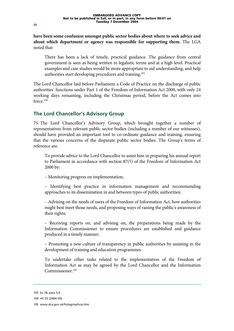**have been some confusion amongst public sector bodies about where to seek advice and about which department or agency was responsible for supporting them.** The LGA noted that:

There has been a lack of timely, practical guidance. The guidance from central government is seen as being written in legalistic terms and at a high level. Practical examples and case studies would be more appropriate to aid understanding, and help authorities start developing procedures and training.103

The Lord Chancellor laid before Parliament a Code of Practice on the discharge of public authorities' functions under Part 1 of the Freedom of Information Act 2000, with only 24 working days remaining, including the Christmas period, before the Act comes into force.104

#### **The Lord Chancellor's Advisory Group**

75. The Lord Chancellor's Advisory Group, which brought together a number of representatives from relevant public sector bodies (including a number of our witnesses), should have provided an important tool to co-ordinate guidance and training, ensuring that the various concerns of the disparate public sector bodies. The Group's terms of reference are:

To provide advice to the Lord Chancellor to assist him in preparing his annual report to Parliament in accordance with section 87(5) of the Freedom of Information Act 2000 by:

– Monitoring progress on implementation;

– Identifying best practice in information management and recommending approaches to its dissemination in and between types of public authorities;

– Advising on the needs of users of the Freedom of Information Act, how authorities might best meet those needs, and proposing ways of raising the public's awareness of their rights;

– Receiving reports on, and advising on, the preparations being made by the Information Commissioner to ensure procedures are established and guidance produced in a timely manner;

– Promoting a new culture of transparency in public authorities by assisting in the development of training and education programmes.

To undertake other tasks related to the implementation of the Freedom of Information Act as may be agreed by the Lord Chancellor and the Information Commissioner.<sup>105</sup>

<sup>103</sup> Ev 78, para 5.4

<sup>104</sup> HC 33 (2004–05)

<sup>105</sup> www.dca.gov.uk/foi/agimpfoia.htm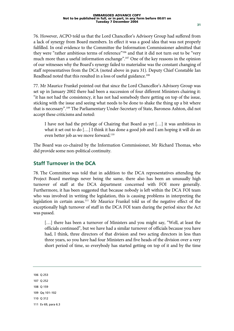76. However, ACPO told us that the Lord Chancellor's Advisory Group had suffered from a lack of synergy from Board members. In effect it was a good idea that was not properly fulfilled. In oral evidence to the Committee the Information Commissioner admitted that they were "rather ambitious terms of reference"<sup>106</sup> and that it did not turn out to be "very much more than a useful information exchange".107 One of the key reasons in the opinion of our witnesses why the Board's synergy failed to materialise was the constant changing of staff representatives from the DCA (noted above in para 31). Deputy Chief Constable Ian Readhead noted that this resulted in a loss of useful guidance.<sup>108</sup>

77. Mr Maurice Frankel pointed out that since the Lord Chancellor's Advisory Group was set up in January 2002 there had been a succession of four different Ministers chairing it: "it has not had the consistency, it has not had somebody there getting on top of the issue, sticking with the issue and seeing what needs to be done to shake the thing up a bit where that is necessary".109 The Parliamentary Under-Secretary of State, Baroness Ashton, did not accept these criticisms and noted:

I have not had the privilege of Chairing that Board as yet […] it was ambitious in what it set out to do […] I think it has done a good job and I am hoping it will do an even better job as we move forward.110

The Board was co-chaired by the Information Commissioner, Mr Richard Thomas, who did provide some non-political continuity.

#### **Staff Turnover in the DCA**

78. The Committee was told that in addition to the DCA representatives attending the Project Board meetings never being the same, there also has been an unusually high turnover of staff at the DCA department concerned with FOI more generally. Furthermore, it has been suggested that because nobody is left within the DCA FOI team who was involved in writing the legislation, this is causing problems in interpreting the legislation in certain areas.111 Mr Maurice Frankel told us of the negative effect of the exceptionally high turnover of staff in the DCA FOI team during the period since the Act was passed.

[...] there has been a turnover of Ministers and you might say, "Well, at least the officials continued", but we have had a similar turnover of officials because you have had, I think, three directors of that division and two acting directors in less than three years, so you have had four Ministers and five heads of the division over a very short period of time, so everybody has started getting on top of it and by the time

106 Q 253 107 Q 252 108 Q 159 109 Qq 101–102 110 Q 312 111 Ev 69, para 6.3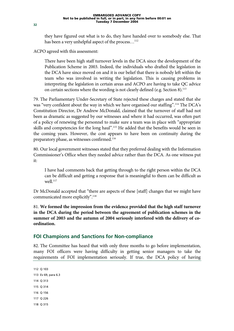they have figured out what is to do, they have handed over to somebody else. That has been a very unhelpful aspect of the process...<sup>112</sup>

ACPO agreed with this assessment:

There have been high staff turnover levels in the DCA since the development of the Publication Scheme in 2003. Indeed, the individuals who drafted the legislation in the DCA have since moved on and it is our belief that there is nobody left within the team who was involved in writing the legislation. This is causing problems in interpreting the legislation in certain areas and ACPO are having to take QC advice on certain sections where the wording is not clearly defined (e.g. Section 8).<sup>113</sup>

79. The Parliamentary Under-Secretary of State rejected these charges and stated that she was "very confident about the way in which we have organised our staffing".114 The DCA's Constitution Director, Dr Andrew McDonald, claimed that the turnover of staff had not been as dramatic as suggested by our witnesses and where it had occurred, was often part of a policy of renewing the personnel to make sure a team was in place with "appropriate skills and competencies for the long haul".115 He added that the benefits would be seen in the coming years. However, the cost appears to have been on continuity during the preparatory phase, as witnesses confirmed.<sup>116</sup>

80. Our local government witnesses stated that they preferred dealing with the Information Commissioner's Office when they needed advice rather than the DCA. As one witness put it:

I have had comments back that getting through to the right person within the DCA can be difficult and getting a response that is meaningful to them can be difficult as well.<sup>117</sup>

Dr McDonald accepted that "there are aspects of these [staff] changes that we might have communicated more explicitly".118

81. **We formed the impression from the evidence provided that the high staff turnover in the DCA during the period between the agreement of publication schemes in the summer of 2003 and the autumn of 2004 seriously interfered with the delivery of coordination.**

### **FOI Champions and Sanctions for Non-compliance**

82. The Committee has heard that with only three months to go before implementation, many FOI officers were having difficulty in getting senior managers to take the requirements of FOI implementation seriously. If true, the DCA policy of having

112 Q 103 113 Ev 69, para 6.3 114 Q 313 115 Q 314 116 Q 156 117 Q 226 118 Q 315

**32**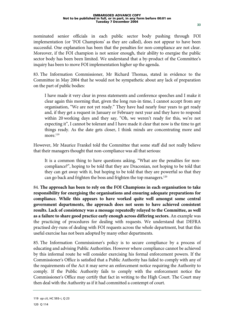nominated senior officials in each public sector body pushing through FOI implementation (or 'FOI Champions' as they are called), does not appear to have been successful. One explanation has been that the penalties for non-compliance are not clear. Moreover, if the FOI champion is not senior enough, their ability to energise the public sector body has been been limited. We understand that a by-product of the Committee's inquiry has been to move FOI implementation higher up the agenda.

83. The Information Commissioner, Mr Richard Thomas, stated in evidence to the Committee in May 2004 that he would not be sympathetic about any lack of preparation on the part of public bodies:

I have made it very clear in press statements and conference speeches and I make it clear again this morning that, given the long run-in time, I cannot accept from any organisation, "We are not yet ready." They have had nearly four years to get ready and, if they get a request in January or February next year and they have to respond within 20 working days and they say, "Oh, we weren't ready for this, we're not expecting it", I cannot be tolerant and I have made it clear that now is the time to get things ready. As the date gets closer, I think minds are concentrating more and more.<sup>119</sup>

However, Mr Maurice Frankel told the Committee that some staff did not really believe that their managers thought that non-compliance was all that serious:

It is a common thing to have questions asking, "What are the penalties for noncompliance?", hoping to be told that they are Draconian, not hoping to be told that they can get away with it, but hoping to be told that they are powerful so that they can go back and frighten the boss and frighten the top managers.120

84. **The approach has been to rely on the FOI Champions in each organisation to take responsibility for energising the organisations and ensuring adequate preparations for compliance. While this appears to have worked quite well amongst some central government departments, the approach does not seem to have achieved consistent results. Lack of consistency was a message repeatedly relayed to the Committee, as well as a failure to share good practice early enough across differing sectors.** An example was the practicing of procedures for dealing with requests. We understand that DEFRA practised dry-runs of dealing with FOI requests across the whole department, but that this useful exercise has not been adopted by many other departments.

85. The Information Commissioner's policy is to secure compliance by a process of educating and advising Public Authorities. However where compliance cannot be achieved by this informal route he will consider exercising his formal enforcement powers. If the Commissioner's Office is satisfied that a Public Authority has failed to comply with any of the requirements of the Act it may serve an enforcement notice requiring the Authority to comply. If the Public Authority fails to comply with the enforcement notice the Commissioner's Office may certify that fact in writing to the High Court. The Court may then deal with the Authority as if it had committed a contempt of court.

<sup>119</sup> *op cit*, HC 593–i, Q 23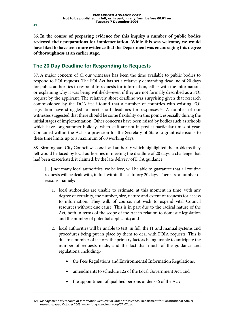86. **In the course of preparing evidence for this inquiry a number of public bodies reviewed their preparations for implementation. While this was welcome, we would have liked to have seen more evidence that the Department was encouraging this degree of thoroughness at an earlier stage.**

### **The 20 Day Deadline for Responding to Requests**

87. A major concern of all our witnesses has been the time available to public bodies to respond to FOI requests. The FOI Act has set a relatively demanding deadline of 20 days for public authorities to respond to requests for information, either with the information, or explaining why it was being withheld—even if they are not formally described as a FOI request by the applicant. The relatively short deadline was surprising given that research commissioned by the DCA itself found that a number of countries with existing FOI legislation have struggled to meet short deadlines for responses.121 A number of our witnesses suggested that there should be some flexibility on this point, especially during the initial stages of implementation. Other concerns have been raised by bodies such as schools which have long summer holidays when staff are not in post at particular times of year. Contained within the Act is a provision for the Secretary of State to grant extensions to these time limits up to a maximum of 60 working days.

88. Birmingham City Council was one local authority which highlighted the problems they felt would be faced by local authorities in meeting the deadline of 20 days, a challenge that had been exacerbated, it claimed, by the late delivery of DCA guidance.

[...] not many local authorities, we believe, will be able to guarantee that all routine requests will be dealt with, in full, within the statutory 20 days. There are a number of reasons, namely:

- 1. local authorities are unable to estimate, at this moment in time, with any degree of certainty, the number, size, nature and extent of requests for access to information. They will, of course, not wish to expend vital Council resources without due cause. This is in part due to the radical nature of the Act, both in terms of the scope of the Act in relation to domestic legislation and the number of potential applicants; and
- 2. local authorities will be unable to test, in full, the IT and manual systems and procedures being put in place by them to deal with FOIA requests. This is due to a number of factors, the primary factors being unable to anticipate the number of requests made, and the fact that much of the guidance and regulations, including:-
	- the Fees Regulations and Environmental Information Regulations;
	- amendments to schedule 12a of the Local Government Act; and
	- the appointment of qualified persons under s36 of the Act;

<sup>121</sup> *Management of Freedom of Information Requests in Other Jurisdictions*, Department for Constitutional Affairs research paper, October 2003, www.foi.gov.uk/impgroup/07\_07c.pdf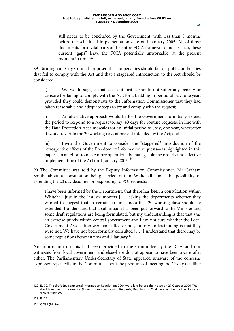still needs to be concluded by the Government, with less than 3 months before the scheduled implementation date of 1 January 2005. All of those documents form vital parts of the entire FOIA framework and, as such, these current "gaps" leave the FOIA potentially unworkable, at the present moment in time.<sup>122</sup>

89. Birmingham City Council proposed that no penalties should fall on public authorities that fail to comply with the Act and that a staggered introduction to the Act should be considered:

i) We would suggest that local authorities should not suffer any penalty or censure for failing to comply with the Act, for a bedding in period of, say, one year, provided they could demonstrate to the Information Commissioner that they had taken reasonable and adequate steps to try and comply with the request;

ii) An alternative approach would be for the Government to initially extend the period to respond to a request to, say, 40 days for routine requests, in line with the Data Protection Act timescales for an initial period of , say, one year, whereafter it would revert to the 20 working days at present intended by the Act; and

iii) Invite the Government to consider the "staggered" introduction of the retrospective effects of the Freedom of Information requests—as highlighted in this paper—in an effort to make more operationally manageable the orderly and effective implementation of the Act on 1 January 2005.<sup>123</sup>

90. The Committee was told by the Deputy Information Commissioner, Mr Graham Smith, about a consultation being carried out in Whitehall about the possibility of extending the 20 day deadline for responding to FOI requests:

I have been informed by the Department, that there has been a consultation within Whitehall just in the last six months [...] asking the departments whether they wanted to suggest that in certain circumstances that 20 working days should be extended. I understand that a submission has been put forward to the Minister and some draft regulations are being formulated, but my understanding is that that was an exercise purely within central government and I am not sure whether the Local Government Association were consulted or not, but my understanding is that they were not. We have not been formally consulted […] I understand that there may be some regulations between now and 1 January.<sup>124</sup>

No information on this had been provided to the Committee by the DCA and our witnesses from local government and elsewhere do not appear to have been aware of it either. The Parliamentary Under-Secretary of State appeared unaware of the concerns expressed repeatedly to the Committee about the pressures of meeting the 20-day deadline

123 Ev 72

124 Q 281 (Mr Smith)

<sup>122</sup> Ev 72. The draft Environmental Information Regulations 2004 were laid before the House on 27 October 2004. The draft Freedom of Information (Time for Compliance with Requests) Regulations 2004 were laid before the House on 4 November 2004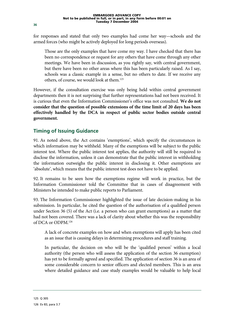for responses and stated that only two examples had come her way—schools and the armed forces (who might be actively deployed for long periods overseas).

Those are the only examples that have come my way. I have checked that there has been no correspondence or request for any others that have come through any other meetings. We have been in discussion, as you rightly say, with central government, but there have been no other areas where this has been particularly raised. As I say, schools was a classic example in a sense, but no others to date. If we receive any others, of course, we would look at them.125

However, if the consultation exercise was only being held within central government departments then it is not surprising that further representations had not been received. It is curious that even the Information Commissioner's office was not consulted. **We do not consider that the question of possible extensions of the time limit of 20 days has been effectively handled by the DCA in respect of public sector bodies outside central government.**

### **Timing of Issuing Guidance**

91. As noted above, the Act contains 'exemptions', which specify the circumstances in which information may be withheld. Many of the exemptions will be subject to the public interest test. Where the public interest test applies, the authority will still be required to disclose the information, unless it can demonstrate that the public interest in withholding the information outweighs the public interest in disclosing it. Other exemptions are 'absolute', which means that the public interest test does not have to be applied.

92. It remains to be seen how the exemptions regime will work in practice, but the Information Commissioner told the Committee that in cases of disagreement with Ministers he intended to make public reports to Parliament.

93. The Information Commissioner highlighted the issue of late decision-making in his submission. In particular, he cited the question of the authorisation of a qualified person under Section 36 (5) of the Act (i.e. a person who can grant exemptions) as a matter that had not been covered. There was a lack of clarity about whether this was the responsibility of DCA or ODPM.126

A lack of concrete examples on how and when exemptions will apply has been cited as an issue that is causing delays in determining procedures and staff training.

In particular, the decision on who will be the 'qualified person' within a local authority (the person who will assess the application of the section 36 exemption) has yet to be formally agreed and specified. The application of section 36 is an area of some considerable concern to senior officers and elected members. This is an area where detailed guidance and case study examples would be valuable to help local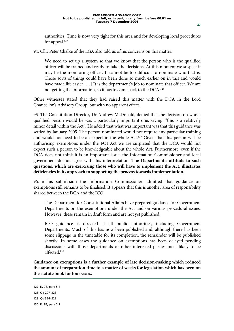authorities. Time is now very tight for this area and for developing local procedures for appeal.<sup>127</sup>

94. Cllr. Peter Chalke of the LGA also told us of his concerns on this matter:

We need to set up a system so that we know that the person who is the qualified officer will be trained and ready to take the decisions. At this moment we suspect it may be the monitoring officer. It cannot be too difficult to nominate who that is. Those sorts of things could have been done so much earlier on in this and would have made life easier [...] It is the department's job to nominate that officer. We are not getting the information, so it has to come back to the DCA.128

Other witnesses stated that they had raised this matter with the DCA in the Lord Chancellor's Advisory Group, but with no apparent effect.

95. The Constitution Director, Dr Andrew McDonald, denied that the decision on who a qualified person would be was a particularly important one, saying: "this is a relatively minor detail within the Act". He added that what was important was that this guidance was settled by January 2005. The person nominated would not require any particular training and would not need to be an expert in the whole Act.<sup>129</sup> Given that this person will be authorising exemptions under the FOI Act we are surprised that the DCA would not expect such a person to be knowledgeable about the whole Act. Furthermore, even if the DCA does not think it is an important issue, the Information Commissioner and local government do not agree with this interpretation. **The Department's attitude to such questions, which are exercising those who will have to implement the Act, illustrates deficiencies in its approach to supporting the process towards implementation.**

96. In his submission the Information Commissioner admitted that guidance on exemptions still remains to be finalised. It appears that this is another area of responsibility shared between the DCA and the ICO.

The Department for Constitutional Affairs have prepared guidance for Government Departments on the exemptions under the Act and on various procedural issues. However, these remain in draft form and are not yet published.

ICO guidance is directed at all public authorities, including Government Departments. Much of this has now been published and, although there has been some slippage in the timetable for its completion, the remainder will be published shortly. In some cases the guidance on exemptions has been delayed pending discussions with those departments or other interested parties most likely to be affected<sup>130</sup>

**Guidance on exemptions is a further example of late decision-making which reduced the amount of preparation time to a matter of weeks for legislation which has been on the statute book for four years.**

```
127 Ev 78, para 5.4 
128 Qq 227–228
```

```
129 Qq 326–329
```

```
130 Ev 81, para 2.1
```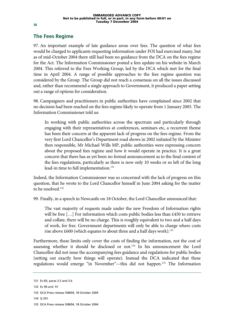### **The Fees Regime**

97. An important example of late guidance arose over fees. The question of what fees would be charged to applicants requesting information under FOI had exercised many, but as of mid-October 2004 there still had been no guidance from the DCA on the fees regime for the Act. The Information Commissioner posted a fees update on his website in March 2004. This referred to the Fees Working Group, led by the DCA which met for the final time in April 2004. A range of possible approaches to the fees regime question was considered by the Group. The Group did not reach a consensus on all the issues discussed and, rather than recommend a single approach to Government, it produced a paper setting out a range of options for consideration.

98. Campaigners and practitioners in public authorities have complained since 2002 that no decision had been reached on the fees regime likely to operate from 1 January 2005. The Information Commissioner told us:

In working with public authorities across the spectrum and particularly through engaging with their representatives at conferences, seminars etc, a recurrent theme has been their concern at the apparent lack of progress on the fees regime. From the very first Lord Chancellor's Department road shows in 2002 initiated by the Minister then responsible, Mr Michael Wills MP, public authorities were expressing concern about the proposed fees regime and how it would operate in practice. It is a great concern that there has as yet been no formal announcement as to the final content of the fees regulations, particularly as there is now only 10 weeks or so left of the long lead-in time to full implementation.<sup>131</sup>

Indeed, the Information Commissioner was so concerned with the lack of progress on this question, that he wrote to the Lord Chancellor himself in June 2004 asking for the matter to be resolved.<sup>132</sup>

99. Finally, in a speech in Newcastle on 18 October, the Lord Chancellor announced that:

The vast majority of requests made under the new Freedom of Information rights will be free [...] For information which costs public bodies less than £450 to retrieve and collate, there will be no charge. This is roughly equivalent to two and a half days of work, for free. Government departments will only be able to charge where costs rise above £600 (which equates to about three and a half days work).<sup>133</sup>

Furthermore, these limits only cover the costs of finding the information, not the cost of assessing whether it should be disclosed or not.<sup>134</sup> In his announcement the Lord Chancellor did not issue the accompanying fees guidance and regulations for public bodies (setting out exactly how things will operate). Instead the DCA indicated that these regulations would emerge "in November"—this did not happen.135 The Information

<sup>131</sup> Ev 83, paras 3.5 and 3.6

<sup>132</sup> Ev 90 and 91

<sup>133</sup> DCA Press release 508/04, 18 October 2004

<sup>134</sup> Q 291

<sup>135</sup> DCA Press release 508/04, 18 October 2004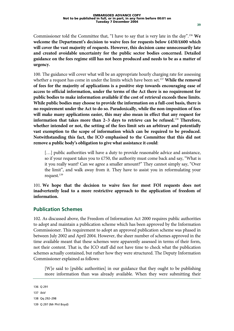**guidance on the fees regime still has not been produced and needs to be as a matter of** 

100. The guidance will cover what will be an appropriate hourly charging rate for assessing whether a request has come in under the limits which have been set.137 **While the removal of fees for the majority of applications is a positive step towards encouraging ease of access to official information, under the terms of the Act there is no requirement for public bodies to make information available if the cost of retrieval exceeds these limits. While public bodies may choose to provide the information on a full-cost basis, there is no requirement under the Act to do so. Paradoxically, while the non-imposition of fees will make many applications easier, this may also mean in effect that any request for information that takes more than 2–3 days to retrieve can be refused.**<sup>138</sup> **Therefore, whether intended or not, the setting of the fees limit sets an arbitrary and potentially vast exemption to the scope of information which can be required to be produced. Notwithstanding this fact, the ICO emphasised to the Committee that this did not remove a public body's obligation to give what assistance it could**:

[...] public authorities will have a duty to provide reasonable advice and assistance, so if your request takes you to £750, the authority must come back and say, "What is it you really want? Can we agree a smaller amount?" They cannot simply say, "Over the limit", and walk away from it. They have to assist you in reformulating your request.<sup>139</sup>

101. **We hope that the decision to waive fees for most FOI requests does not inadvertently lead to a more restrictive approach to the application of freedom of information.**

#### **Publication Schemes**

102. As discussed above, the Freedom of Information Act 2000 requires public authorities to adopt and maintain a publication scheme which has been approved by the Information Commissioner. This requirement to adopt an approved publication scheme was phased in between July 2002 and April 2004. However, the sheer number of schemes approved in the time available meant that these schemes were apparently assessed in terms of their form, not their content. That is, the ICO staff did not have time to check what the publication schemes actually contained, but rather how they were structured. The Deputy Information Commissioner explained as follows:

[W]e said to [public authorities] in our guidance that they ought to be publishing more information than was already available. When they were submitting their

136 Q 291

**urgency.**

137 *ibid* 

<sup>138</sup> Qq 292–298

<sup>139</sup> Q 297 (Mr Phil Boyd)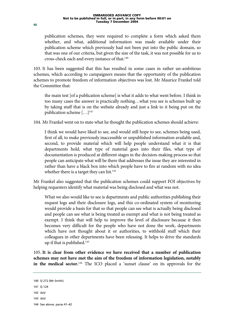publication schemes, they were required to complete a form which asked them whether, and what, additional information was made available under their publication scheme which previously had not been put into the public domain, so that was one of our criteria, but given the size of the task, it was not possible for us to cross-check each and every instance of that.140

103. It has been suggested that this has resulted in some cases in rather un-ambitious schemes, which according to campaigners means that the opportunity of the publication schemes to promote freedom of information objectives was lost. Mr Maurice Frankel told the Committee that:

the main test [of a publication scheme] is what it adds to what went before. I think in too many cases the answer is practically nothing…what you see is schemes built up by taking stuff that is on the website already and just a link to it being put on the publication scheme  $[\dots]^{141}$ 

104. Mr Frankel went on to state what he thought the publication schemes should achieve:

I think we would have liked to see, and would still hope to see, schemes being used, first of all, to make previously inaccessible or unpublished information available and, second, to provide material which will help people understand what it is that departments hold, what type of material goes into their files, what type of documentation is produced at different stages in the decision-making process so that people can anticipate what will be there that addresses the issue they are interested in rather than have a black box into which people have to fire at random with no idea whether there is a target they can hit.<sup>142</sup>

Mr Frankel also suggested that the publication schemes could support FOI objectives by helping requesters identify what material was being disclosed and what was not.

What we also would like to see is departments and public authorities publishing their request logs and their disclosure logs, and this co-ordinated system of monitoring would provide a basis for that so that people can see what is actually being disclosed and people can see what is being treated as exempt and what is not being treated as exempt. I think that will help to improve the level of disclosure because it then becomes very difficult for the people who have not done the work, departments which have not thought about it or authorities, to withhold stuff which their colleagues in other departments have been releasing. It helps to drive the standards up if that is published.143

105. **It is clear from other evidence we have received that a number of publication schemes may not have met the aim of the freedom of information legislation, notably in the medical sector.**144 The ICO placed a 'sunset clause' on its approvals for the

<sup>140</sup> Q 272 (Mr Smith)

<sup>141</sup> Q 124

<sup>142</sup> *ibid* 

<sup>143</sup> *ibid* 

<sup>144</sup> See above, paras 41–42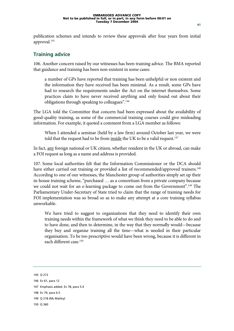publication schemes and intends to review these approvals after four years from initial approval.<sup>145</sup>

#### **Training advice**

106. Another concern raised by our witnesses has been training advice. The BMA reported that guidance and training has been non-existent in some cases:

a number of GPs have reported that training has been unhelpful or non existent and the information they have received has been minimal. As a result, some GPs have had to research the requirements under the Act on the internet themselves. Some practices claim to have never received anything and only found out about their obligations through speaking to colleagues".146

The LGA told the Committee that concern had been expressed about the availability of good-quality training, as some of the commercial training courses could give misleading information. For example, it quoted a comment from a LGA member as follows:

When I attended a seminar (held by a law firm) around October last year, we were told that the request had to be from <u>inside</u> the UK to be a valid request.<sup>147</sup>

In fact, any foreign national or UK citizen, whether resident in the UK or abroad, can make a FOI request as long as a name and address is provided.

107. Some local authorities felt that the Information Commissioner or the DCA should have either carried out training or provided a list of recommended/approved trainers.<sup>148</sup> According to one of our witnesses, the Manchester group of authorities simply set up their in-house training scheme, "purchased … as a consortium from a private company because we could not wait for an e-learning package to come out from the Government".<sup>149</sup> The Parliamentary Under-Secretary of State tried to claim that the range of training needs for FOI implementation was so broad so as to make any attempt at a core training syllabus unworkable.

We have tried to suggest to organisations that they need to identify their own training needs within the framework of what we think they need to be able to do and to have done, and then to determine, in the way that they normally would—because they buy and organise training all the time—what is needed in their particular organisation. To be too prescriptive would have been wrong, because it is different in each different case.150

<sup>145</sup> Q 272

<sup>146</sup> Ev 61, para 12

<sup>147</sup> Emphasis added. Ev 78, para 5.4

<sup>148</sup> Ev 79, para 6.5

<sup>149</sup> Q 218 (Ms Matley)

<sup>150</sup> Q 360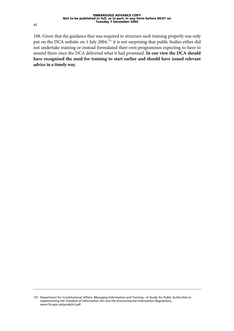108. Given that the guidance that was required to structure such training properly was only put on the DCA website on 1 July 2004,<sup>151</sup> it is not surprising that public bodies either did not undertake training or instead formulated their own programmes expecting to have to amend them once the DCA delivered what it had promised. **In our view the DCA should have recognised the need for training to start earlier and should have issued relevant advice in a timely way.**

**42**

<sup>151</sup> Department for Constitutional Affairs, *Managing Information and Training—A Guide for Public Authorities in implementing the Freedom of Information Act and the Environmental Information Regulations*, www.foi.gov.uk/guide2nl.pdf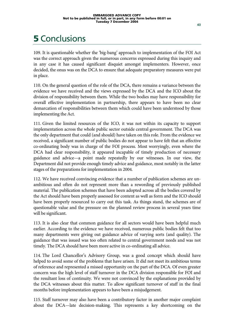# **5** Conclusions

109. It is questionable whether the 'big-bang' approach to implementation of the FOI Act was the correct approach given the numerous concerns expressed during this inquiry and in any case it has caused significant disquiet amongst implementers. However, once decided, the onus was on the DCA to ensure that adequate preparatory measures were put in place.

110. On the general question of the role of the DCA, there remains a variance between the evidence we have received and the views expressed by the DCA and the ICO about the division of responsibility between them. While the two bodies may have responsibility for overall effective implementation in partnership, there appears to have been no clear demarcation of responsibilities between them which could have been understood by those implementing the Act.

111. Given the limited resources of the ICO, it was not within its capacity to support implementation across the whole public sector outside central government. The DCA was the only department that could (and should) have taken on this role. From the evidence we received, a significant number of public bodies do not appear to have felt that an effective co-ordinating body was in charge of the FOI process. Most worryingly, even where the DCA had clear responsibility, it appeared incapable of timely production of necessary guidance and advice—a point made repeatedly by our witnesses. In our view, the Department did not provide enough timely advice and guidance, most notably in the latter stages of the preparations for implementation in 2004.

112. We have received convincing evidence that a number of publication schemes are unambitious and often do not represent more than a rewording of previously published material. The publication schemes that have been adopted across all the bodies covered by the Act should have been properly assessed for content as well as form and the ICO should have been properly resourced to carry out this task. As things stand, the schemes are of questionable value and the pressure on the planned review process in several years time will be significant.

113. It is also clear that common guidance for all sectors would have been helpful much earlier. According to the evidence we have received, numerous public bodies felt that too many departments were giving out guidance advice of varying sorts (and quality). The guidance that was issued was too often related to central government needs and was not timely. The DCA should have been more active in co-ordinating all advice.

114. The Lord Chancellor's Advisory Group, was a good concept which should have helped to avoid some of the problems that have arisen. It did not meet its ambitious terms of reference and represented a missed opportunity on the part of the DCA. Of even greater concern was the high level of staff turnover in the DCA division responsible for FOI and the resultant loss of continuity. We were not convinced by the explanations provided by the DCA witnesses about this matter. To allow significant turnover of staff in the final months before implementation appears to have been a misjudgement.

115. Staff turnover may also have been a contributory factor in another major complaint about the DCA—late decision-making. This represents a key shortcoming on the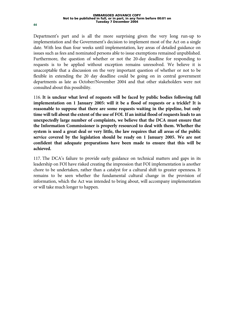Department's part and is all the more surprising given the very long run-up to implementation and the Government's decision to implement most of the Act on a single date. With less than four weeks until implementation, key areas of detailed guidance on issues such as fees and nominated persons able to issue exemptions remained unpublished. Furthermore, the question of whether or not the 20-day deadline for responding to requests is to be applied without exception remains unresolved. We believe it is unacceptable that a discussion on the very important question of whether or not to be flexible in extending the 20 day deadline could be going on in central government departments as late as October/November 2004 and that other stakeholders were not consulted about this possibility.

116. **It is unclear what level of requests will be faced by public bodies following full implementation on 1 January 2005: will it be a flood of requests or a trickle? It is reasonable to suppose that there are some requests waiting in the pipeline, but only time will tell about the extent of the use of FOI. If an initial flood of requests leads to an unexpectedly large number of complaints, we believe that the DCA must ensure that the Information Commissioner is properly resourced to deal with them. Whether the system is used a great deal or very little, the law requires that all areas of the public service covered by the legislation should be ready on 1 January 2005. We are not confident that adequate preparations have been made to ensure that this will be achieved.**

117. The DCA's failure to provide early guidance on technical matters and gaps in its leadership on FOI have risked creating the impression that FOI implementation is another chore to be undertaken, rather than a catalyst for a cultural shift to greater openness. It remains to be seen whether the fundamental cultural change in the provision of information, which the Act was intended to bring about, will accompany implementation or will take much longer to happen.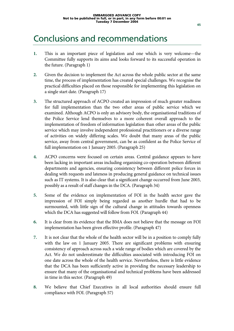### Conclusions and recommendations

- **1.** This is an important piece of legislation and one which is very welcome—the Committee fully supports its aims and looks forward to its successful operation in the future. (Paragraph 1)
- **2.** Given the decision to implement the Act across the whole public sector at the same time, the process of implementation has created special challenges. We recognise the practical difficulties placed on those responsible for implementing this legislation on a single start date. (Paragraph 17)
- **3.** The structured approach of ACPO created an impression of much greater readiness for full implementation than the two other areas of public service which we examined. Although ACPO is only an advisory body, the organisational traditions of the Police Service lend themselves to a more coherent overall approach to the implementation of freedom of information legislation than other areas of the public service which may involve independent professional practitioners or a diverse range of activities on widely differing scales. We doubt that many areas of the public service, away from central government, can be as confident as the Police Service of full implementation on 1 January 2005. (Paragraph 25)
- **4.** ACPO concerns were focused on certain areas. Central guidance appears to have been lacking in important areas including organising co-operation between different departments and agencies, ensuring consistency between different police forces in dealing with requests and lateness in producing general guidance on technical issues such as IT systems. It is also clear that a significant change occurred from June 2003, possibly as a result of staff changes in the DCA. (Paragraph 34)
- **5.** Some of the evidence on implementation of FOI in the health sector gave the impression of FOI simply being regarded as another hurdle that had to be surmounted, with little sign of the cultural change in attitudes towards openness which the DCA has suggested will follow from FOI. (Paragraph 44)
- **6.** It is clear from its evidence that the BMA does not believe that the message on FOI implementation has been given effective profile. (Paragraph 47)
- **7.** It is not clear that the whole of the health sector will be in a position to comply fully with the law on 1 January 2005. There are significant problems with ensuring consistency of approach across such a wide range of bodies which are covered by the Act. We do not underestimate the difficulties associated with introducing FOI on one date across the whole of the health service. Nevertheless, there is little evidence that the DCA has been sufficiently active in providing the necessary leadership to ensure that many of the organisational and technical problems have been addressed in time in this sector. (Paragraph 49)
- **8.** We believe that Chief Executives in all local authorities should ensure full compliance with FOI. (Paragraph 57)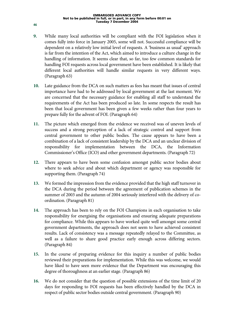- **9.** While many local authorities will be compliant with the FOI legislation when it comes fully into force in January 2005, some will not. Successful compliance will be dependent on a relatively low initial level of requests. A 'business as usual' approach is far from the intention of the Act, which aimed to introduce a culture change in the handling of information. It seems clear that, so far, too few common standards for handling FOI requests across local government have been established. It is likely that different local authorities will handle similar requests in very different ways. (Paragraph 63)
- **10.** Late guidance from the DCA on such matters as fees has meant that issues of central importance have had to be addressed by local government at the last moment. We are concerned that the necessary guidance for enabling all staff to understand the requirements of the Act has been produced so late. In some respects the result has been that local government has been given a few weeks rather than four years to prepare fully for the advent of FOI. (Paragraph 64)
- **11.** The picture which emerged from the evidence we received was of uneven levels of success and a strong perception of a lack of strategic control and support from central government to other public bodies. The cause appears to have been a combination of a lack of consistent leadership by the DCA and an unclear division of responsibility for implementation between the DCA, the Information Commissioner's Office (ICO) and other government departments. (Paragraph 72)
- **12.** There appears to have been some confusion amongst public sector bodies about where to seek advice and about which department or agency was responsible for supporting them. (Paragraph 74)
- **13.** We formed the impression from the evidence provided that the high staff turnover in the DCA during the period between the agreement of publication schemes in the summer of 2003 and the autumn of 2004 seriously interfered with the delivery of coordination. (Paragraph 81)
- **14.** The approach has been to rely on the FOI Champions in each organisation to take responsibility for energising the organisations and ensuring adequate preparations for compliance. While this appears to have worked quite well amongst some central government departments, the approach does not seem to have achieved consistent results. Lack of consistency was a message repeatedly relayed to the Committee, as well as a failure to share good practice early enough across differing sectors. (Paragraph 84)
- **15.** In the course of preparing evidence for this inquiry a number of public bodies reviewed their preparations for implementation. While this was welcome, we would have liked to have seen more evidence that the Department was encouraging this degree of thoroughness at an earlier stage. (Paragraph 86)
- **16.** We do not consider that the question of possible extensions of the time limit of 20 days for responding to FOI requests has been effectively handled by the DCA in respect of public sector bodies outside central government. (Paragraph 90)

**46**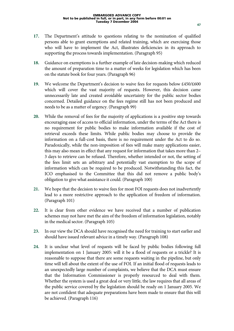- **17.** The Department's attitude to questions relating to the nomination of qualified persons able to grant exemptions and related training, which are exercising those who will have to implement the Act, illustrates deficiencies in its approach to supporting the process towards implementation. (Paragraph 95)
- **18.** Guidance on exemptions is a further example of late decision-making which reduced the amount of preparation time to a matter of weeks for legislation which has been on the statute book for four years. (Paragraph 96)
- **19.** We welcome the Department's decision to waive fees for requests below £450/£600 which will cover the vast majority of requests. However, this decision came unnecessarily late and created avoidable uncertainty for the public sector bodies concerned. Detailed guidance on the fees regime still has not been produced and needs to be as a matter of urgency. (Paragraph 99)
- **20.** While the removal of fees for the majority of applications is a positive step towards encouraging ease of access to official information, under the terms of the Act there is no requirement for public bodies to make information available if the cost of retrieval exceeds these limits. While public bodies may choose to provide the information on a full-cost basis, there is no requirement under the Act to do so. Paradoxically, while the non-imposition of fees will make many applications easier, this may also mean in effect that any request for information that takes more than 2– 3 days to retrieve can be refused. Therefore, whether intended or not, the setting of the fees limit sets an arbitrary and potentially vast exemption to the scope of information which can be required to be produced. Notwithstanding this fact, the ICO emphasised to the Committee that this did not remove a public body's obligation to give what assistance it could. (Paragraph 100)
- **21.** We hope that the decision to waive fees for most FOI requests does not inadvertently lead to a more restrictive approach to the application of freedom of information. (Paragraph 101)
- **22.** It is clear from other evidence we have received that a number of publication schemes may not have met the aim of the freedom of information legislation, notably in the medical sector. (Paragraph 105)
- **23.** In our view the DCA should have recognised the need for training to start earlier and should have issued relevant advice in a timely way. (Paragraph 108)
- **24.** It is unclear what level of requests will be faced by public bodies following full implementation on 1 January 2005: will it be a flood of requests or a trickle? It is reasonable to suppose that there are some requests waiting in the pipeline, but only time will tell about the extent of the use of FOI. If an initial flood of requests leads to an unexpectedly large number of complaints, we believe that the DCA must ensure that the Information Commissioner is properly resourced to deal with them. Whether the system is used a great deal or very little, the law requires that all areas of the public service covered by the legislation should be ready on 1 January 2005. We are not confident that adequate preparations have been made to ensure that this will be achieved. (Paragraph 116)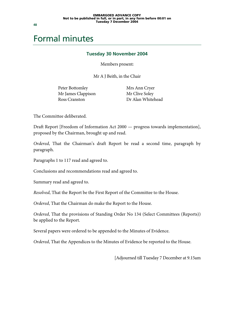### Formal minutes

#### **Tuesday 30 November 2004**

Members present:

Mr A J Beith, in the Chair

Peter Bottomley Mr James Clappison Ross Cranston

 Mrs Ann Cryer Mr Clive Soley Dr Alan Whitehead

The Committee deliberated.

Draft Report [Freedom of Information Act 2000 — progress towards implementation], proposed by the Chairman, brought up and read.

*Ordered*, That the Chairman's draft Report be read a second time, paragraph by paragraph.

Paragraphs 1 to 117 read and agreed to.

Conclusions and recommendations read and agreed to.

Summary read and agreed to.

*Resolved*, That the Report be the First Report of the Committee to the House.

*Ordered*, That the Chairman do make the Report to the House.

*Ordered*, That the provisions of Standing Order No 134 (Select Committees (Reports)) be applied to the Report.

Several papers were ordered to be appended to the Minutes of Evidence.

*Ordered*, That the Appendices to the Minutes of Evidence be reported to the House.

[Adjourned till Tuesday 7 December at 9.15am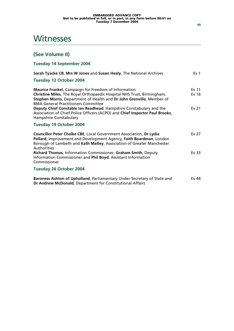### **Witnesses**

### **(See Volume II)**

**Tuesday 14 September 2004** 

| Sarah Tyacke CB, Mrs W Jones and Susan Healy, The National Archives                                                                                                                                                                                   | Ev <sub>1</sub>                      |
|-------------------------------------------------------------------------------------------------------------------------------------------------------------------------------------------------------------------------------------------------------|--------------------------------------|
| <b>Tuesday 12 October 2004</b>                                                                                                                                                                                                                        |                                      |
| Maurice Frankel, Campaign for Freedom of Information<br>Christine Miles, The Royal Orthopaedic Hospital NHS Trust, Birmingham,<br>Stephen Morris, Department of Health and Dr John Grenville, Member of<br><b>BMA General Practitioners Committee</b> | Ev <sub>11</sub><br>Ev <sub>16</sub> |
| Deputy Chief Constable Ian Readhead, Hampshire Constabulary and the<br>Association of Chief Police Officers (ACPO) and Chief Inspector Paul Brooks,<br><b>Hampshire Constabulary</b>                                                                  | Ev 21                                |
| Tuesday 19 October 2004                                                                                                                                                                                                                               |                                      |
| Councillor Peter Chalke CBE, Local Government Association, Dr Lydia<br>Pollard, Improvement and Development Agency, Faith Boardman, London<br>Borough of Lambeth and Kath Matley, Association of Greater Manchester<br>Authorities                    | Ev <sub>27</sub>                     |
| Richard Thomas, Information Commissioner, Graham Smith, Deputy<br>Information Commissioner and Phil Boyd, Assistant Information<br>Commissioner                                                                                                       | Ev 33                                |
| <b>Tuesday 26 October 2004</b>                                                                                                                                                                                                                        |                                      |
| Baroness Ashton of Upholland, Parliamentary Under-Secretary of State and<br>Dr Andrew McDonald, Department for Constitutional Affairs                                                                                                                 | Fv 44                                |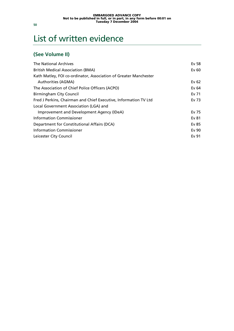# List of written evidence

### **(See Volume II)**

| <b>The National Archives</b>                                     | Ev 58   |
|------------------------------------------------------------------|---------|
| <b>British Medical Association (BMA)</b>                         | Ev 60   |
| Kath Matley, FOI co-ordinator, Association of Greater Manchester |         |
| Authorities (AGMA)                                               | Ev $62$ |
| The Association of Chief Police Officers (ACPO)                  | Ev 64   |
| <b>Birmingham City Council</b>                                   | Ev 71   |
| Fred J Perkins, Chairman and Chief Executive, Information TV Ltd | Ev 73   |
| Local Government Association (LGA) and                           |         |
| Improvement and Development Agency (IDeA)                        | Ev 75   |
| <b>Information Commissioner</b>                                  | Ev 81   |
| Department for Constitutional Affairs (DCA)                      | Ev 85   |
| <b>Information Commissioner</b>                                  | Ev 90   |
| Leicester City Council                                           | Ev 91   |
|                                                                  |         |